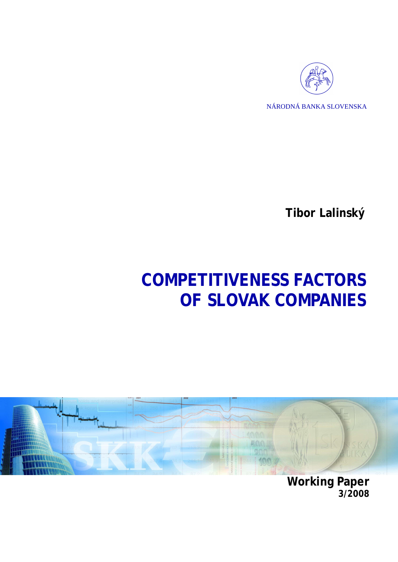

**Tibor Lalinský** 

# **COMPETITIVENESS FACTORS OF SLOVAK COMPANIES**



**Working Paper 3/2008**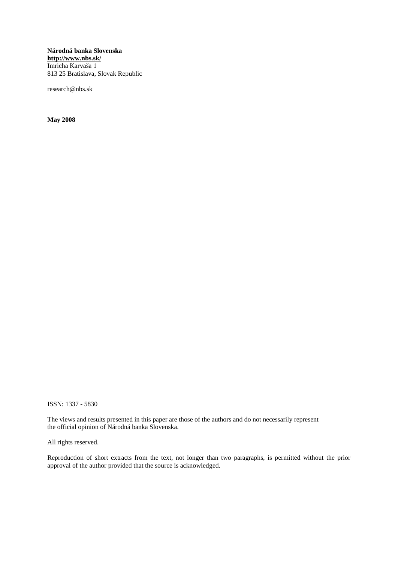**Národná banka Slovenska <http://www.nbs.sk/>** Imricha Karvaša 1 813 25 Bratislava, Slovak Republic

[research@nbs.sk](mailto:research@nbs.sk)

**May 2008** 

ISSN: 1337 - 5830

The views and results presented in this paper are those of the authors and do not necessarily represent the official opinion of Národná banka Slovenska.

All rights reserved.

Reproduction of short extracts from the text, not longer than two paragraphs, is permitted without the prior approval of the author provided that the source is acknowledged.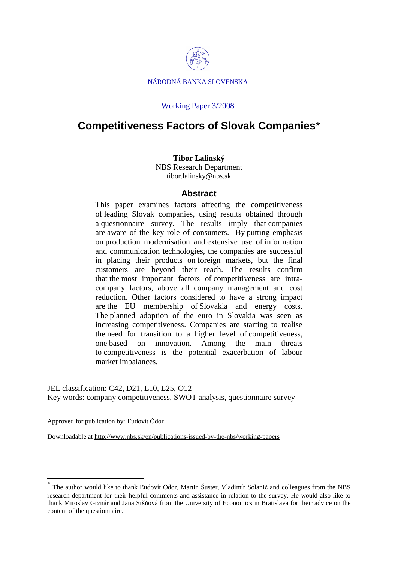

#### Working Paper 3/2008

# **Competitiveness Factors of Slovak Companies**\*

#### **Tibor Lalinský**  NBS Research Department [tibor.lalinsky@nbs.sk](mailto:tibor.lalinsky@nbs.sk)

### **Abstract**

This paper examines factors affecting the competitiveness of leading Slovak companies, using results obtained through a questionnaire survey. The results imply that companies are aware of the key role of consumers. By putting emphasis on production modernisation and extensive use of information and communication technologies, the companies are successful in placing their products on foreign markets, but the final customers are beyond their reach. The results confirm that the most important factors of competitiveness are intracompany factors, above all company management and cost reduction. Other factors considered to have a strong impact are the EU membership of Slovakia and energy costs. The planned adoption of the euro in Slovakia was seen as increasing competitiveness. Companies are starting to realise the need for transition to a higher level of competitiveness, one based on innovation. Among the main threats to competitiveness is the potential exacerbation of labour market imbalances.

JEL classification: C42, D21, L10, L25, O12 Key words: company competitiveness, SWOT analysis, questionnaire survey

Approved for publication by: Ľudovít Ódor

 $\overline{a}$ 

Downloadable at<http://www.nbs.sk/en/publications-issued-by-the-nbs/working-papers>

<sup>\*</sup> The author would like to thank Ľudovít Ódor, Martin Šuster, Vladimír Solanič and colleagues from the NBS research department for their helpful comments and assistance in relation to the survey. He would also like to thank Miroslav Grznár and Jana Sršňová from the University of Economics in Bratislava for their advice on the content of the questionnaire.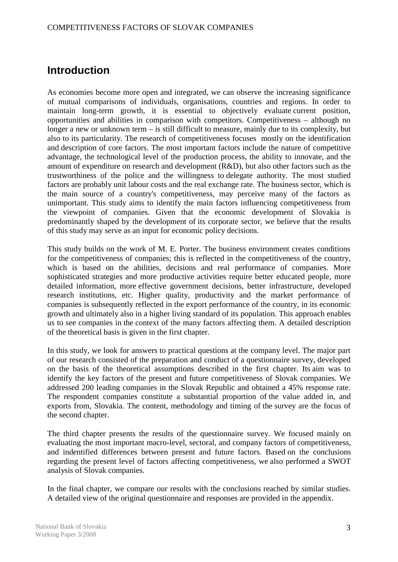# **Introduction**

As economies become more open and integrated, we can observe the increasing significance of mutual comparisons of individuals, organisations, countries and regions. In order to maintain long-term growth, it is essential to objectively evaluate current position, opportunities and abilities in comparison with competitors. Competitiveness – although no longer a new or unknown term – is still difficult to measure, mainly due to its complexity, but also to its particularity. The research of competitiveness focuses mostly on the identification and description of core factors. The most important factors include the nature of competitive advantage, the technological level of the production process, the ability to innovate, and the amount of expenditure on research and development (R&D), but also other factors such as the trustworthiness of the police and the willingness to delegate authority. The most studied factors are probably unit labour costs and the real exchange rate. The business sector, which is the main source of a country's competitiveness, may perceive many of the factors as unimportant. This study aims to identify the main factors influencing competitiveness from the viewpoint of companies. Given that the economic development of Slovakia is predominantly shaped by the development of its corporate sector, we believe that the results of this study may serve as an input for economic policy decisions.

This study builds on the work of M. E. Porter. The business environment creates conditions for the competitiveness of companies; this is reflected in the competitiveness of the country, which is based on the abilities, decisions and real performance of companies. More sophisticated strategies and more productive activities require better educated people, more detailed information, more effective government decisions, better infrastructure, developed research institutions, etc. Higher quality, productivity and the market performance of companies is subsequently reflected in the export performance of the country, in its economic growth and ultimately also in a higher living standard of its population. This approach enables us to see companies in the context of the many factors affecting them. A detailed description of the theoretical basis is given in the first chapter.

In this study, we look for answers to practical questions at the company level. The major part of our research consisted of the preparation and conduct of a questionnaire survey, developed on the basis of the theoretical assumptions described in the first chapter. Its aim was to identify the key factors of the present and future competitiveness of Slovak companies. We addressed 200 leading companies in the Slovak Republic and obtained a 45% response rate. The respondent companies constitute a substantial proportion of the value added in, and exports from, Slovakia. The content, methodology and timing of the survey are the focus of the second chapter.

The third chapter presents the results of the questionnaire survey. We focused mainly on evaluating the most important macro-level, sectoral, and company factors of competitiveness, and indentified differences between present and future factors. Based on the conclusions regarding the present level of factors affecting competitiveness, we also performed a SWOT analysis of Slovak companies.

In the final chapter, we compare our results with the conclusions reached by similar studies. A detailed view of the original questionnaire and responses are provided in the appendix.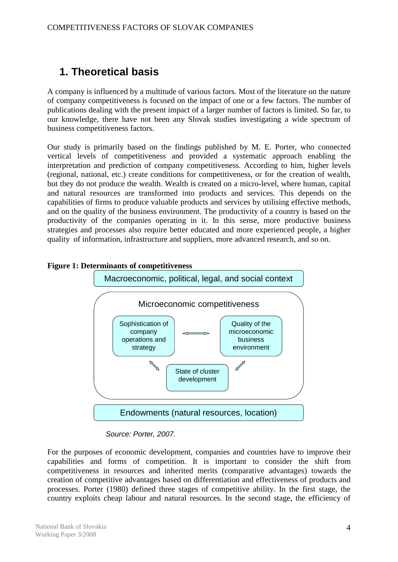# **1. Theoretical basis**

A company is influenced by a multitude of various factors. Most of the literature on the nature of company competitiveness is focused on the impact of one or a few factors. The number of publications dealing with the present impact of a larger number of factors is limited. So far, to our knowledge, there have not been any Slovak studies investigating a wide spectrum of business competitiveness factors.

Our study is primarily based on the findings published by M. E. Porter, who connected vertical levels of competitiveness and provided a systematic approach enabling the interpretation and prediction of company competitiveness. According to him, higher levels (regional, national, etc.) create conditions for competitiveness, or for the creation of wealth, but they do not produce the wealth. Wealth is created on a micro-level, where human, capital and natural resources are transformed into products and services. This depends on the capabilities of firms to produce valuable products and services by utilising effective methods, and on the quality of the business environment. The productivity of a country is based on the productivity of the companies operating in it. In this sense, more productive business strategies and processes also require better educated and more experienced people, a higher quality of information, infrastructure and suppliers, more advanced research, and so on.



### **Figure 1: Determinants of competitiveness**

# *Source: Porter, 2007.*

For the purposes of economic development, companies and countries have to improve their capabilities and forms of competition. It is important to consider the shift from competitiveness in resources and inherited merits (comparative advantages) towards the creation of competitive advantages based on differentiation and effectiveness of products and processes. Porter (1980) defined three stages of competitive ability. In the first stage, the country exploits cheap labour and natural resources. In the second stage, the efficiency of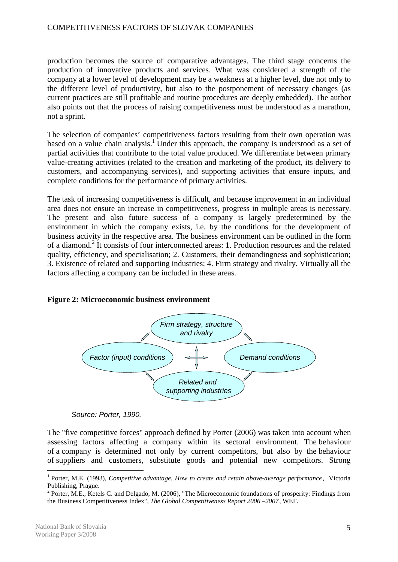production becomes the source of comparative advantages. The third stage concerns the production of innovative products and services. What was considered a strength of the company at a lower level of development may be a weakness at a higher level, due not only to the different level of productivity, but also to the postponement of necessary changes (as current practices are still profitable and routine procedures are deeply embedded). The author also points out that the process of raising competitiveness must be understood as a marathon, not a sprint.

The selection of companies' competitiveness factors resulting from their own operation was based on a value chain analysis.<sup>1</sup> Under this approach, the company is understood as a set of partial activities that contribute to the total value produced. We differentiate between primary value-creating activities (related to the creation and marketing of the product, its delivery to customers, and accompanying services), and supporting activities that ensure inputs, and complete conditions for the performance of primary activities.

The task of increasing competitiveness is difficult, and because improvement in an individual area does not ensure an increase in competitiveness, progress in multiple areas is necessary. The present and also future success of a company is largely predetermined by the environment in which the company exists, i.e. by the conditions for the development of business activity in the respective area. The business environment can be outlined in the form of a diamond.<sup>2</sup> It consists of four interconnected areas: 1. Production resources and the related quality, efficiency, and specialisation; 2. Customers, their demandingness and sophistication; 3. Existence of related and supporting industries; 4. Firm strategy and rivalry. Virtually all the factors affecting a company can be included in these areas.

#### **Figure 2: Microeconomic business environment**



*Source: Porter, 1990.* 

The "five competitive forces" approach defined by Porter (2006) was taken into account when assessing factors affecting a company within its sectoral environment. The behaviour of a company is determined not only by current competitors, but also by the behaviour of suppliers and customers, substitute goods and potential new competitors. Strong

<sup>1</sup> Porter, M.E. (1993), *Competitive advantage. How to create and retain above-average performance* , Victoria Publishing, Prague.

 $2^{2}$  Porter, M.E., Ketels C. and Delgado, M. (2006), "The Microeconomic foundations of prosperity: Findings from the Business Competitiveness Index", *The Global Competitiveness Report 2006 –2007*, WEF.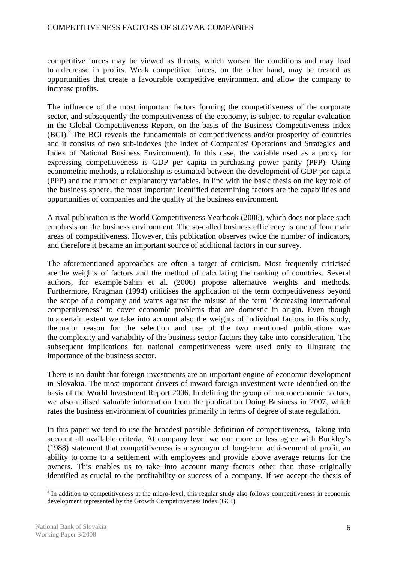competitive forces may be viewed as threats, which worsen the conditions and may lead to a decrease in profits. Weak competitive forces, on the other hand, may be treated as opportunities that create a favourable competitive environment and allow the company to increase profits.

The influence of the most important factors forming the competitiveness of the corporate sector, and subsequently the competitiveness of the economy, is subject to regular evaluation in the Global Competitiveness Report, on the basis of the Business Competitiveness Index (BCI).<sup>3</sup> The BCI reveals the fundamentals of competitiveness and/or prosperity of countries and it consists of two sub-indexes (the Index of Companies' Operations and Strategies and Index of National Business Environment). In this case, the variable used as a proxy for expressing competitiveness is GDP per capita in purchasing power parity (PPP). Using econometric methods, a relationship is estimated between the development of GDP per capita (PPP) and the number of explanatory variables. In line with the basic thesis on the key role of the business sphere, the most important identified determining factors are the capabilities and opportunities of companies and the quality of the business environment.

A rival publication is the World Competitiveness Yearbook (2006), which does not place such emphasis on the business environment. The so-called business efficiency is one of four main areas of competitiveness. However, this publication observes twice the number of indicators, and therefore it became an important source of additional factors in our survey.

The aforementioned approaches are often a target of criticism. Most frequently criticised are the weights of factors and the method of calculating the ranking of countries. Several authors, for example Sahin et al. (2006) propose alternative weights and methods. Furthermore, Krugman (1994) criticises the application of the term competitiveness beyond the scope of a company and warns against the misuse of the term "decreasing international competitiveness" to cover economic problems that are domestic in origin. Even though to a certain extent we take into account also the weights of individual factors in this study, the major reason for the selection and use of the two mentioned publications was the complexity and variability of the business sector factors they take into consideration. The subsequent implications for national competitiveness were used only to illustrate the importance of the business sector.

There is no doubt that foreign investments are an important engine of economic development in Slovakia. The most important drivers of inward foreign investment were identified on the basis of the World Investment Report 2006. In defining the group of macroeconomic factors, we also utilised valuable information from the publication Doing Business in 2007, which rates the business environment of countries primarily in terms of degree of state regulation.

In this paper we tend to use the broadest possible definition of competitiveness, taking into account all available criteria. At company level we can more or less agree with Buckley's (1988) statement that competitiveness is a synonym of long-term achievement of profit, an ability to come to a settlement with employees and provide above average returns for the owners. This enables us to take into account many factors other than those originally identified as crucial to the profitability or success of a company. If we accept the thesis of

 $3$  In addition to competitiveness at the micro-level, this regular study also follows competitiveness in economic development represented by the Growth Competitiveness Index (GCI).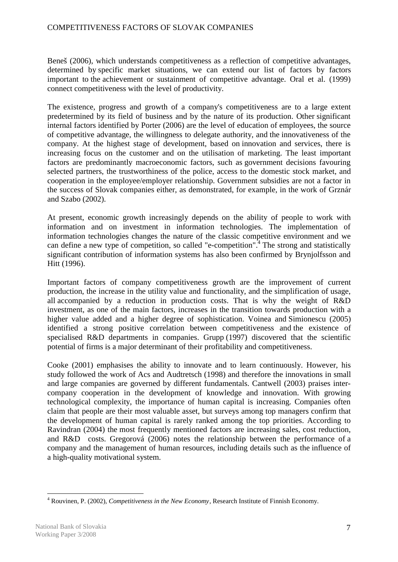Beneš (2006), which understands competitiveness as a reflection of competitive advantages, determined by specific market situations, we can extend our list of factors by factors important to the achievement or sustainment of competitive advantage. Oral et al. (1999) connect competitiveness with the level of productivity.

The existence, progress and growth of a company's competitiveness are to a large extent predetermined by its field of business and by the nature of its production. Other significant internal factors identified by Porter (2006) are the level of education of employees, the source of competitive advantage, the willingness to delegate authority, and the innovativeness of the company. At the highest stage of development, based on innovation and services, there is increasing focus on the customer and on the utilisation of marketing. The least important factors are predominantly macroeconomic factors, such as government decisions favouring selected partners, the trustworthiness of the police, access to the domestic stock market, and cooperation in the employee/employer relationship. Government subsidies are not a factor in the success of Slovak companies either, as demonstrated, for example, in the work of Grznár and Szabo (2002).

At present, economic growth increasingly depends on the ability of people to work with information and on investment in information technologies. The implementation of information technologies changes the nature of the classic competitive environment and we can define a new type of competition, so called "e-competition".<sup>4</sup> The strong and statistically significant contribution of information systems has also been confirmed by Brynjolfsson and Hitt (1996).

Important factors of company competitiveness growth are the improvement of current production, the increase in the utility value and functionality, and the simplification of usage, all accompanied by a reduction in production costs. That is why the weight of R&D investment, as one of the main factors, increases in the transition towards production with a higher value added and a higher degree of sophistication. Voinea and Simionescu (2005) identified a strong positive correlation between competitiveness and the existence of specialised R&D departments in companies. Grupp (1997) discovered that the scientific potential of firms is a major determinant of their profitability and competitiveness.

Cooke (2001) emphasises the ability to innovate and to learn continuously. However, his study followed the work of Acs and Audtretsch (1998) and therefore the innovations in small and large companies are governed by different fundamentals. Cantwell (2003) praises intercompany cooperation in the development of knowledge and innovation. With growing technological complexity, the importance of human capital is increasing. Companies often claim that people are their most valuable asset, but surveys among top managers confirm that the development of human capital is rarely ranked among the top priorities. According to Ravindran (2004) the most frequently mentioned factors are increasing sales, cost reduction, and R&D costs. Gregorová (2006) notes the relationship between the performance of a company and the management of human resources, including details such as the influence of a high-quality motivational system.

 $\overline{a}$ 4 Rouvinen, P. (2002), *Competitiveness in the New Economy*, Research Institute of Finnish Economy.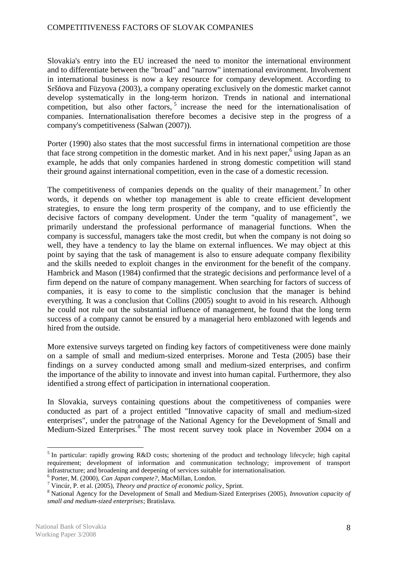Slovakia's entry into the EU increased the need to monitor the international environment and to differentiate between the "broad" and "narrow" international environment. Involvement in international business is now a key resource for company development. According to Sršňova and Füzyova (2003), a company operating exclusively on the domestic market cannot develop systematically in the long-term horizon. Trends in national and international competition, but also other factors,<sup>5</sup> increase the need for the internationalisation of companies. Internationalisation therefore becomes a decisive step in the progress of a company's competitiveness (Salwan (2007)).

Porter (1990) also states that the most successful firms in international competition are those that face strong competition in the domestic market. And in his next paper,<sup>6</sup> using Japan as an example, he adds that only companies hardened in strong domestic competition will stand their ground against international competition, even in the case of a domestic recession.

The competitiveness of companies depends on the quality of their management.<sup>7</sup> In other words, it depends on whether top management is able to create efficient development strategies, to ensure the long term prosperity of the company, and to use efficiently the decisive factors of company development. Under the term "quality of management", we primarily understand the professional performance of managerial functions. When the company is successful, managers take the most credit, but when the company is not doing so well, they have a tendency to lay the blame on external influences. We may object at this point by saying that the task of management is also to ensure adequate company flexibility and the skills needed to exploit changes in the environment for the benefit of the company. Hambrick and Mason (1984) confirmed that the strategic decisions and performance level of a firm depend on the nature of company management. When searching for factors of success of companies, it is easy to come to the simplistic conclusion that the manager is behind everything. It was a conclusion that Collins (2005) sought to avoid in his research. Although he could not rule out the substantial influence of management, he found that the long term success of a company cannot be ensured by a managerial hero emblazoned with legends and hired from the outside.

More extensive surveys targeted on finding key factors of competitiveness were done mainly on a sample of small and medium-sized enterprises. Morone and Testa (2005) base their findings on a survey conducted among small and medium-sized enterprises, and confirm the importance of the ability to innovate and invest into human capital. Furthermore, they also identified a strong effect of participation in international cooperation.

In Slovakia, surveys containing questions about the competitiveness of companies were conducted as part of a project entitled "Innovative capacity of small and medium-sized enterprises", under the patronage of the National Agency for the Development of Small and Medium-Sized Enterprises.<sup>8</sup> The most recent survey took place in November 2004 on a

<sup>&</sup>lt;sup>5</sup> In particular: rapidly growing R&D costs; shortening of the product and technology lifecycle; high capital requirement; development of information and communication technology; improvement of transport infrastructure; and broadening and deepening of services suitable for internationalisation.

<sup>6</sup> Porter, M. (2000), *Can Japan compete?*, MacMillan, London.

<sup>7</sup> Vincúr, P. et al. (2005), *Theory and practice of economic policy*, Sprint.

<sup>8</sup> National Agency for the Development of Small and Medium-Sized Enterprises (2005), *Innovation capacity of small and medium-sized enterprises*; Bratislava.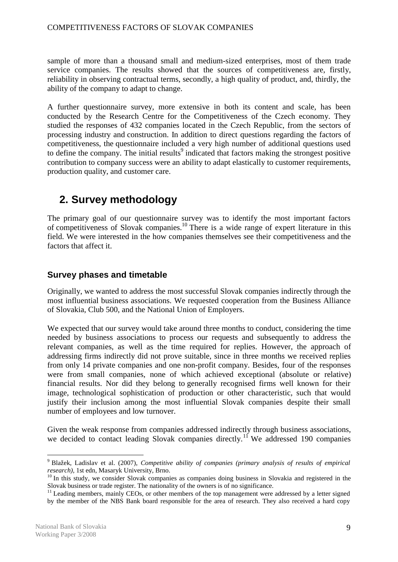sample of more than a thousand small and medium-sized enterprises, most of them trade service companies. The results showed that the sources of competitiveness are, firstly, reliability in observing contractual terms, secondly, a high quality of product, and, thirdly, the ability of the company to adapt to change.

A further questionnaire survey, more extensive in both its content and scale, has been conducted by the Research Centre for the Competitiveness of the Czech economy. They studied the responses of 432 companies located in the Czech Republic, from the sectors of processing industry and construction. In addition to direct questions regarding the factors of competitiveness, the questionnaire included a very high number of additional questions used to define the company. The initial results<sup>9</sup> indicated that factors making the strongest positive contribution to company success were an ability to adapt elastically to customer requirements, production quality, and customer care.

# **2. Survey methodology**

The primary goal of our questionnaire survey was to identify the most important factors of competitiveness of Slovak companies.<sup>10</sup> There is a wide range of expert literature in this field. We were interested in the how companies themselves see their competitiveness and the factors that affect it.

# **Survey phases and timetable**

Originally, we wanted to address the most successful Slovak companies indirectly through the most influential business associations. We requested cooperation from the Business Alliance of Slovakia, Club 500, and the National Union of Employers.

We expected that our survey would take around three months to conduct, considering the time needed by business associations to process our requests and subsequently to address the relevant companies, as well as the time required for replies. However, the approach of addressing firms indirectly did not prove suitable, since in three months we received replies from only 14 private companies and one non-profit company. Besides, four of the responses were from small companies, none of which achieved exceptional (absolute or relative) financial results. Nor did they belong to generally recognised firms well known for their image, technological sophistication of production or other characteristic, such that would justify their inclusion among the most influential Slovak companies despite their small number of employees and low turnover.

Given the weak response from companies addressed indirectly through business associations, we decided to contact leading Slovak companies directly.<sup>11</sup> We addressed 190 companies

 $\overline{a}$ 9 Blažek, Ladislav et al. (2007), *Competitive ability of companies (primary analysis of results of empirical research)*, 1st edn, Masaryk University, Brno.

 $10$  In this study, we consider Slovak companies as companies doing business in Slovakia and registered in the Slovak business or trade register. The nationality of the owners is of no significance.

<sup>&</sup>lt;sup>11</sup> Leading members, mainly CEOs, or other members of the top management were addressed by a letter signed by the member of the NBS Bank board responsible for the area of research. They also received a hard copy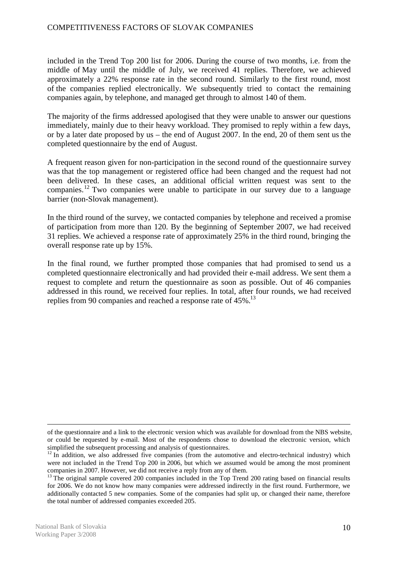included in the Trend Top 200 list for 2006. During the course of two months, i.e. from the middle of May until the middle of July, we received 41 replies. Therefore, we achieved approximately a 22% response rate in the second round. Similarly to the first round, most of the companies replied electronically. We subsequently tried to contact the remaining companies again, by telephone, and managed get through to almost 140 of them.

The majority of the firms addressed apologised that they were unable to answer our questions immediately, mainly due to their heavy workload. They promised to reply within a few days, or by a later date proposed by us – the end of August 2007. In the end, 20 of them sent us the completed questionnaire by the end of August.

A frequent reason given for non-participation in the second round of the questionnaire survey was that the top management or registered office had been changed and the request had not been delivered. In these cases, an additional official written request was sent to the companies.<sup>12</sup> Two companies were unable to participate in our survey due to a language barrier (non-Slovak management).

In the third round of the survey, we contacted companies by telephone and received a promise of participation from more than 120. By the beginning of September 2007, we had received 31 replies. We achieved a response rate of approximately 25% in the third round, bringing the overall response rate up by 15%.

In the final round, we further prompted those companies that had promised to send us a completed questionnaire electronically and had provided their e-mail address. We sent them a request to complete and return the questionnaire as soon as possible. Out of 46 companies addressed in this round, we received four replies. In total, after four rounds, we had received replies from 90 companies and reached a response rate of 45%.<sup>13</sup>

 $\overline{a}$ of the questionnaire and a link to the electronic version which was available for download from the NBS website, or could be requested by e-mail. Most of the respondents chose to download the electronic version, which simplified the subsequent processing and analysis of questionnaires.

 $12$  In addition, we also addressed five companies (from the automotive and electro-technical industry) which were not included in the Trend Top 200 in 2006, but which we assumed would be among the most prominent companies in 2007. However, we did not receive a reply from any of them.

<sup>&</sup>lt;sup>13</sup> The original sample covered 200 companies included in the Top Trend 200 rating based on financial results for 2006. We do not know how many companies were addressed indirectly in the first round. Furthermore, we additionally contacted 5 new companies. Some of the companies had split up, or changed their name, therefore the total number of addressed companies exceeded 205.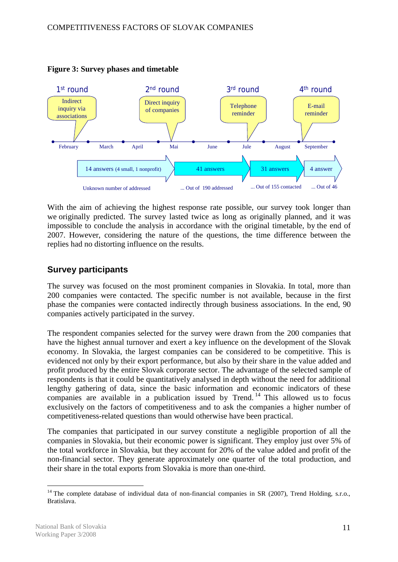

# **Figure 3: Survey phases and timetable**

With the aim of achieving the highest response rate possible, our survey took longer than we originally predicted. The survey lasted twice as long as originally planned, and it was impossible to conclude the analysis in accordance with the original timetable, by the end of 2007. However, considering the nature of the questions, the time difference between the replies had no distorting influence on the results.

# **Survey participants**

The survey was focused on the most prominent companies in Slovakia. In total, more than 200 companies were contacted. The specific number is not available, because in the first phase the companies were contacted indirectly through business associations. In the end, 90 companies actively participated in the survey.

The respondent companies selected for the survey were drawn from the 200 companies that have the highest annual turnover and exert a key influence on the development of the Slovak economy. In Slovakia, the largest companies can be considered to be competitive. This is evidenced not only by their export performance, but also by their share in the value added and profit produced by the entire Slovak corporate sector. The advantage of the selected sample of respondents is that it could be quantitatively analysed in depth without the need for additional lengthy gathering of data, since the basic information and economic indicators of these companies are available in a publication issued by Trend.<sup>14</sup> This allowed us to focus exclusively on the factors of competitiveness and to ask the companies a higher number of competitiveness-related questions than would otherwise have been practical.

The companies that participated in our survey constitute a negligible proportion of all the companies in Slovakia, but their economic power is significant. They employ just over 5% of the total workforce in Slovakia, but they account for 20% of the value added and profit of the non-financial sector. They generate approximately one quarter of the total production, and their share in the total exports from Slovakia is more than one-third.

<sup>&</sup>lt;sup>14</sup> The complete database of individual data of non-financial companies in SR (2007), Trend Holding, s.r.o., Bratislava.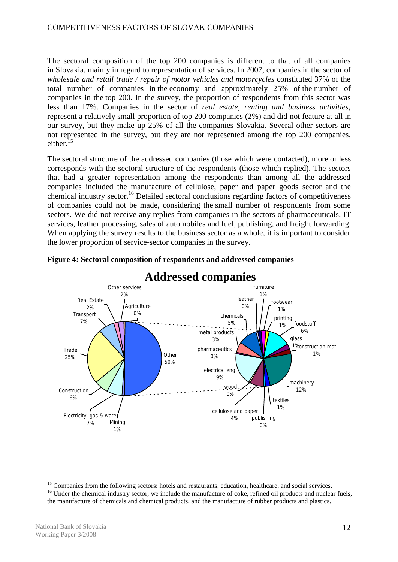The sectoral composition of the top 200 companies is different to that of all companies in Slovakia, mainly in regard to representation of services. In 2007, companies in the sector of *wholesale and retail trade / repair of motor vehicles and motorcycles* constituted 37% of the total number of companies in the economy and approximately 25% of the number of companies in the top 200. In the survey, the proportion of respondents from this sector was less than 17%. Companies in the sector of *real estate, renting and business activities*, represent a relatively small proportion of top 200 companies (2%) and did not feature at all in our survey, but they make up 25% of all the companies Slovakia. Several other sectors are not represented in the survey, but they are not represented among the top 200 companies, either.<sup>15</sup>

The sectoral structure of the addressed companies (those which were contacted), more or less corresponds with the sectoral structure of the respondents (those which replied). The sectors that had a greater representation among the respondents than among all the addressed companies included the manufacture of cellulose, paper and paper goods sector and the chemical industry sector.<sup>16</sup> Detailed sectoral conclusions regarding factors of competitiveness of companies could not be made, considering the small number of respondents from some sectors. We did not receive any replies from companies in the sectors of pharmaceuticals, IT services, leather processing, sales of automobiles and fuel, publishing, and freight forwarding. When applying the survey results to the business sector as a whole, it is important to consider the lower proportion of service-sector companies in the survey.



# **Figure 4: Sectoral composition of respondents and addressed companies**

<sup>&</sup>lt;sup>15</sup> Companies from the following sectors: hotels and restaurants, education, healthcare, and social services.

<sup>&</sup>lt;sup>16</sup> Under the chemical industry sector, we include the manufacture of coke, refined oil products and nuclear fuels, the manufacture of chemicals and chemical products, and the manufacture of rubber products and plastics.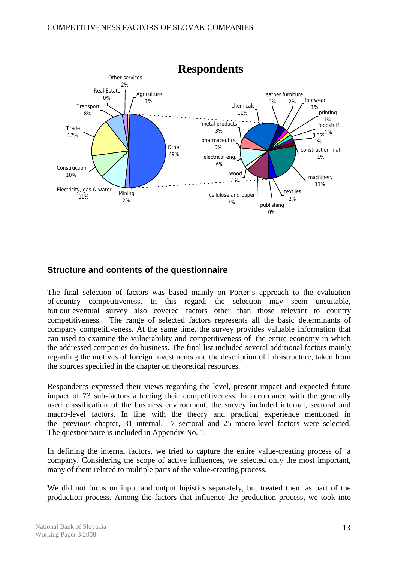

# **Structure and contents of the questionnaire**

The final selection of factors was based mainly on Porter's approach to the evaluation of country competitiveness. In this regard, the selection may seem unsuitable, but our eventual survey also covered factors other than those relevant to country competitiveness. The range of selected factors represents all the basic determinants of company competitiveness. At the same time, the survey provides valuable information that can used to examine the vulnerability and competitiveness of the entire economy in which the addressed companies do business. The final list included several additional factors mainly regarding the motives of foreign investments and the description of infrastructure, taken from the sources specified in the chapter on theoretical resources.

Respondents expressed their views regarding the level, present impact and expected future impact of 73 sub-factors affecting their competitiveness. In accordance with the generally used classification of the business environment, the survey included internal, sectoral and macro-level factors. In line with the theory and practical experience mentioned in the previous chapter, 31 internal, 17 sectoral and 25 macro-level factors were selected. The questionnaire is included in Appendix No. 1.

In defining the internal factors, we tried to capture the entire value-creating process of a company. Considering the scope of active influences, we selected only the most important, many of them related to multiple parts of the value-creating process.

We did not focus on input and output logistics separately, but treated them as part of the production process. Among the factors that influence the production process, we took into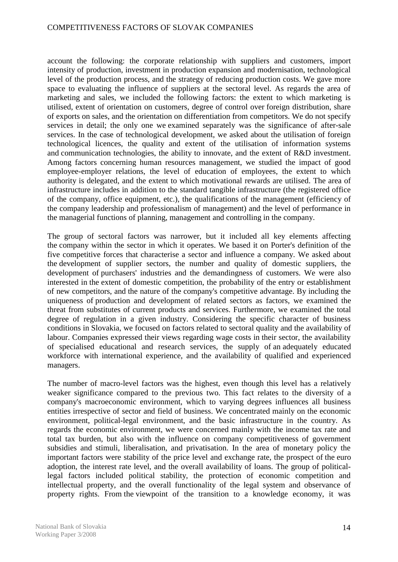account the following: the corporate relationship with suppliers and customers, import intensity of production, investment in production expansion and modernisation, technological level of the production process, and the strategy of reducing production costs. We gave more space to evaluating the influence of suppliers at the sectoral level. As regards the area of marketing and sales, we included the following factors: the extent to which marketing is utilised, extent of orientation on customers, degree of control over foreign distribution, share of exports on sales, and the orientation on differentiation from competitors. We do not specify services in detail; the only one we examined separately was the significance of after-sale services. In the case of technological development, we asked about the utilisation of foreign technological licences, the quality and extent of the utilisation of information systems and communication technologies, the ability to innovate, and the extent of R&D investment. Among factors concerning human resources management, we studied the impact of good employee-employer relations, the level of education of employees, the extent to which authority is delegated, and the extent to which motivational rewards are utilised. The area of infrastructure includes in addition to the standard tangible infrastructure (the registered office of the company, office equipment, etc.), the qualifications of the management (efficiency of the company leadership and professionalism of management) and the level of performance in the managerial functions of planning, management and controlling in the company.

The group of sectoral factors was narrower, but it included all key elements affecting the company within the sector in which it operates. We based it on Porter's definition of the five competitive forces that characterise a sector and influence a company. We asked about the development of supplier sectors, the number and quality of domestic suppliers, the development of purchasers' industries and the demandingness of customers. We were also interested in the extent of domestic competition, the probability of the entry or establishment of new competitors, and the nature of the company's competitive advantage. By including the uniqueness of production and development of related sectors as factors, we examined the threat from substitutes of current products and services. Furthermore, we examined the total degree of regulation in a given industry. Considering the specific character of business conditions in Slovakia, we focused on factors related to sectoral quality and the availability of labour. Companies expressed their views regarding wage costs in their sector, the availability of specialised educational and research services, the supply of an adequately educated workforce with international experience, and the availability of qualified and experienced managers.

The number of macro-level factors was the highest, even though this level has a relatively weaker significance compared to the previous two. This fact relates to the diversity of a company's macroeconomic environment, which to varying degrees influences all business entities irrespective of sector and field of business. We concentrated mainly on the economic environment, political-legal environment, and the basic infrastructure in the country. As regards the economic environment, we were concerned mainly with the income tax rate and total tax burden, but also with the influence on company competitiveness of government subsidies and stimuli, liberalisation, and privatisation. In the area of monetary policy the important factors were stability of the price level and exchange rate, the prospect of the euro adoption, the interest rate level, and the overall availability of loans. The group of politicallegal factors included political stability, the protection of economic competition and intellectual property, and the overall functionality of the legal system and observance of property rights. From the viewpoint of the transition to a knowledge economy, it was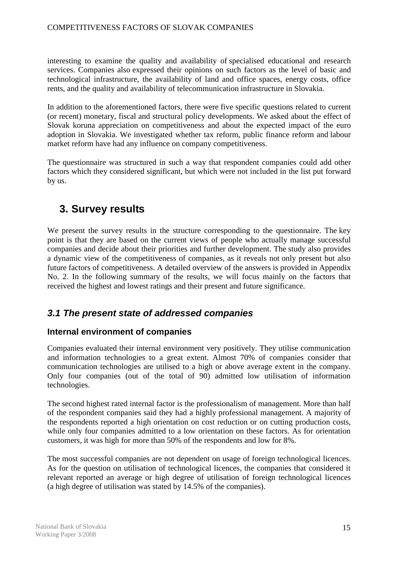interesting to examine the quality and availability of specialised educational and research services. Companies also expressed their opinions on such factors as the level of basic and technological infrastructure, the availability of land and office spaces, energy costs, office rents, and the quality and availability of telecommunication infrastructure in Slovakia.

In addition to the aforementioned factors, there were five specific questions related to current (or recent) monetary, fiscal and structural policy developments. We asked about the effect of Slovak koruna appreciation on competitiveness and about the expected impact of the euro adoption in Slovakia. We investigated whether tax reform, public finance reform and labour market reform have had any influence on company competitiveness.

The questionnaire was structured in such a way that respondent companies could add other factors which they considered significant, but which were not included in the list put forward by us.

# **3. Survey results**

We present the survey results in the structure corresponding to the questionnaire. The key point is that they are based on the current views of people who actually manage successful companies and decide about their priorities and further development. The study also provides a dynamic view of the competitiveness of companies, as it reveals not only present but also future factors of competitiveness. A detailed overview of the answers is provided in Appendix No. 2. In the following summary of the results, we will focus mainly on the factors that received the highest and lowest ratings and their present and future significance.

# *3.1 The present state of addressed companies*

# **Internal environment of companies**

Companies evaluated their internal environment very positively. They utilise communication and information technologies to a great extent. Almost 70% of companies consider that communication technologies are utilised to a high or above average extent in the company. Only four companies (out of the total of 90) admitted low utilisation of information technologies.

The second highest rated internal factor is the professionalism of management. More than half of the respondent companies said they had a highly professional management. A majority of the respondents reported a high orientation on cost reduction or on cutting production costs, while only four companies admitted to a low orientation on these factors. As for orientation customers, it was high for more than 50% of the respondents and low for 8%.

The most successful companies are not dependent on usage of foreign technological licences. As for the question on utilisation of technological licences, the companies that considered it relevant reported an average or high degree of utilisation of foreign technological licences (a high degree of utilisation was stated by 14.5% of the companies).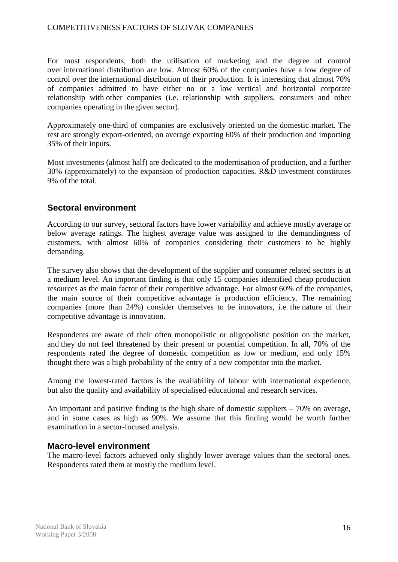For most respondents, both the utilisation of marketing and the degree of control over international distribution are low. Almost 60% of the companies have a low degree of control over the international distribution of their production. It is interesting that almost 70% of companies admitted to have either no or a low vertical and horizontal corporate relationship with other companies (i.e. relationship with suppliers, consumers and other companies operating in the given sector).

Approximately one-third of companies are exclusively oriented on the domestic market. The rest are strongly export-oriented, on average exporting 60% of their production and importing 35% of their inputs.

Most investments (almost half) are dedicated to the modernisation of production, and a further 30% (approximately) to the expansion of production capacities. R&D investment constitutes 9% of the total.

# **Sectoral environment**

According to our survey, sectoral factors have lower variability and achieve mostly average or below average ratings. The highest average value was assigned to the demandingness of customers, with almost 60% of companies considering their customers to be highly demanding.

The survey also shows that the development of the supplier and consumer related sectors is at a medium level. An important finding is that only 15 companies identified cheap production resources as the main factor of their competitive advantage. For almost 60% of the companies, the main source of their competitive advantage is production efficiency. The remaining companies (more than 24%) consider themselves to be innovators, i.e. the nature of their competitive advantage is innovation.

Respondents are aware of their often monopolistic or oligopolistic position on the market, and they do not feel threatened by their present or potential competition. In all, 70% of the respondents rated the degree of domestic competition as low or medium, and only 15% thought there was a high probability of the entry of a new competitor into the market.

Among the lowest-rated factors is the availability of labour with international experience, but also the quality and availability of specialised educational and research services.

An important and positive finding is the high share of domestic suppliers – 70% on average, and in some cases as high as 90%. We assume that this finding would be worth further examination in a sector-focused analysis.

# **Macro-level environment**

The macro-level factors achieved only slightly lower average values than the sectoral ones. Respondents rated them at mostly the medium level.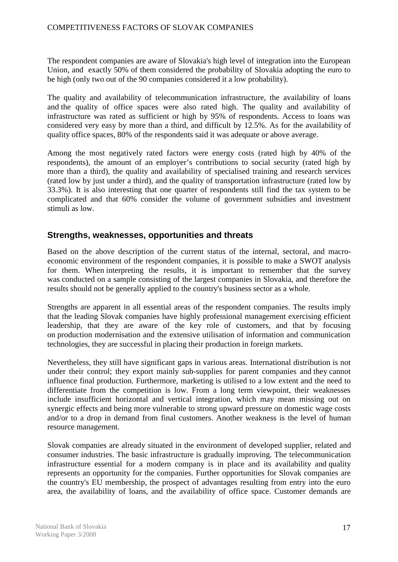The respondent companies are aware of Slovakia's high level of integration into the European Union, and exactly 50% of them considered the probability of Slovakia adopting the euro to be high (only two out of the 90 companies considered it a low probability).

The quality and availability of telecommunication infrastructure, the availability of loans and the quality of office spaces were also rated high. The quality and availability of infrastructure was rated as sufficient or high by 95% of respondents. Access to loans was considered very easy by more than a third, and difficult by 12.5%. As for the availability of quality office spaces, 80% of the respondents said it was adequate or above average.

Among the most negatively rated factors were energy costs (rated high by 40% of the respondents), the amount of an employer's contributions to social security (rated high by more than a third), the quality and availability of specialised training and research services (rated low by just under a third), and the quality of transportation infrastructure (rated low by 33.3%). It is also interesting that one quarter of respondents still find the tax system to be complicated and that 60% consider the volume of government subsidies and investment stimuli as low.

# **Strengths, weaknesses, opportunities and threats**

Based on the above description of the current status of the internal, sectoral, and macroeconomic environment of the respondent companies, it is possible to make a SWOT analysis for them. When interpreting the results, it is important to remember that the survey was conducted on a sample consisting of the largest companies in Slovakia, and therefore the results should not be generally applied to the country's business sector as a whole.

Strengths are apparent in all essential areas of the respondent companies. The results imply that the leading Slovak companies have highly professional management exercising efficient leadership, that they are aware of the key role of customers, and that by focusing on production modernisation and the extensive utilisation of information and communication technologies, they are successful in placing their production in foreign markets.

Nevertheless, they still have significant gaps in various areas. International distribution is not under their control; they export mainly sub-supplies for parent companies and they cannot influence final production. Furthermore, marketing is utilised to a low extent and the need to differentiate from the competition is low. From a long term viewpoint, their weaknesses include insufficient horizontal and vertical integration, which may mean missing out on synergic effects and being more vulnerable to strong upward pressure on domestic wage costs and/or to a drop in demand from final customers. Another weakness is the level of human resource management.

Slovak companies are already situated in the environment of developed supplier, related and consumer industries. The basic infrastructure is gradually improving. The telecommunication infrastructure essential for a modern company is in place and its availability and quality represents an opportunity for the companies. Further opportunities for Slovak companies are the country's EU membership, the prospect of advantages resulting from entry into the euro area, the availability of loans, and the availability of office space. Customer demands are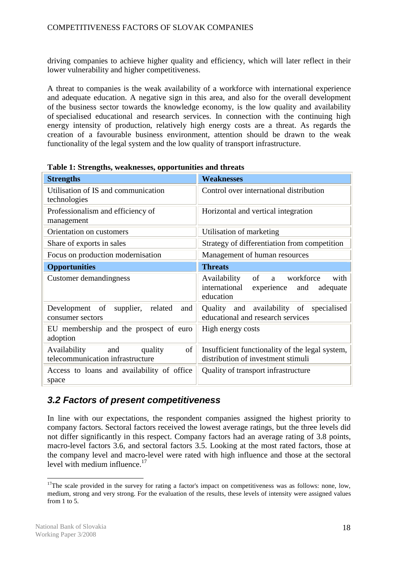driving companies to achieve higher quality and efficiency, which will later reflect in their lower vulnerability and higher competitiveness.

A threat to companies is the weak availability of a workforce with international experience and adequate education. A negative sign in this area, and also for the overall development of the business sector towards the knowledge economy, is the low quality and availability of specialised educational and research services. In connection with the continuing high energy intensity of production, relatively high energy costs are a threat. As regards the creation of a favourable business environment, attention should be drawn to the weak functionality of the legal system and the low quality of transport infrastructure.

| <b>Strengths</b>                                                      | <b>Weaknesses</b>                                                                                            |  |  |  |  |  |
|-----------------------------------------------------------------------|--------------------------------------------------------------------------------------------------------------|--|--|--|--|--|
| Utilisation of IS and communication<br>technologies                   | Control over international distribution                                                                      |  |  |  |  |  |
| Professionalism and efficiency of<br>management                       | Horizontal and vertical integration                                                                          |  |  |  |  |  |
| Orientation on customers                                              | Utilisation of marketing                                                                                     |  |  |  |  |  |
| Share of exports in sales                                             | Strategy of differentiation from competition                                                                 |  |  |  |  |  |
| Focus on production modernisation                                     | Management of human resources                                                                                |  |  |  |  |  |
| <b>Opportunities</b>                                                  | <b>Threats</b>                                                                                               |  |  |  |  |  |
| Customer demandingness                                                | of<br>Availability<br>workforce<br>with<br>a.<br>international<br>experience<br>and<br>adequate<br>education |  |  |  |  |  |
| Development of<br>supplier,<br>related<br>and<br>consumer sectors     | Quality and availability of specialised<br>educational and research services                                 |  |  |  |  |  |
| EU membership and the prospect of euro<br>adoption                    | High energy costs                                                                                            |  |  |  |  |  |
| of<br>Availability and<br>quality<br>telecommunication infrastructure | Insufficient functionality of the legal system,<br>distribution of investment stimuli                        |  |  |  |  |  |
| Access to loans and availability of office<br>space                   | Quality of transport infrastructure                                                                          |  |  |  |  |  |

**Table 1: Strengths, weaknesses, opportunities and threats** 

# *3.2 Factors of present competitiveness*

In line with our expectations, the respondent companies assigned the highest priority to company factors. Sectoral factors received the lowest average ratings, but the three levels did not differ significantly in this respect. Company factors had an average rating of 3.8 points, macro-level factors 3.6, and sectoral factors 3.5. Looking at the most rated factors, those at the company level and macro-level were rated with high influence and those at the sectoral level with medium influence. $17$ 

<sup>&</sup>lt;sup>17</sup>The scale provided in the survey for rating a factor's impact on competitiveness was as follows: none, low, medium, strong and very strong. For the evaluation of the results, these levels of intensity were assigned values from 1 to 5.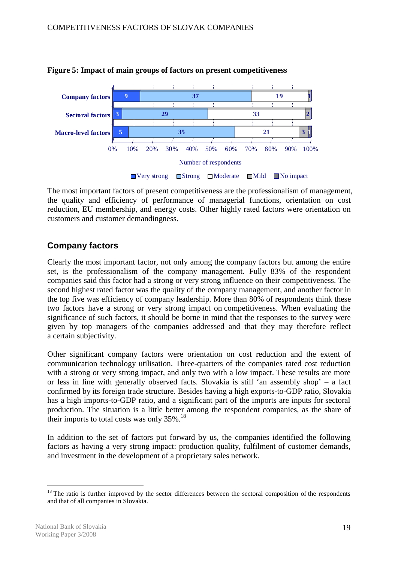

#### **Figure 5: Impact of main groups of factors on present competitiveness**

The most important factors of present competitiveness are the professionalism of management, the quality and efficiency of performance of managerial functions, orientation on cost reduction, EU membership, and energy costs. Other highly rated factors were orientation on customers and customer demandingness.

# **Company factors**

Clearly the most important factor, not only among the company factors but among the entire set, is the professionalism of the company management. Fully 83% of the respondent companies said this factor had a strong or very strong influence on their competitiveness. The second highest rated factor was the quality of the company management, and another factor in the top five was efficiency of company leadership. More than 80% of respondents think these two factors have a strong or very strong impact on competitiveness. When evaluating the significance of such factors, it should be borne in mind that the responses to the survey were given by top managers of the companies addressed and that they may therefore reflect a certain subjectivity.

Other significant company factors were orientation on cost reduction and the extent of communication technology utilisation. Three-quarters of the companies rated cost reduction with a strong or very strong impact, and only two with a low impact. These results are more or less in line with generally observed facts. Slovakia is still 'an assembly shop' – a fact confirmed by its foreign trade structure. Besides having a high exports-to-GDP ratio, Slovakia has a high imports-to-GDP ratio, and a significant part of the imports are inputs for sectoral production. The situation is a little better among the respondent companies, as the share of their imports to total costs was only  $35\%$ .<sup>18</sup>

In addition to the set of factors put forward by us, the companies identified the following factors as having a very strong impact: production quality, fulfilment of customer demands, and investment in the development of a proprietary sales network.

<sup>&</sup>lt;sup>18</sup> The ratio is further improved by the sector differences between the sectoral composition of the respondents and that of all companies in Slovakia.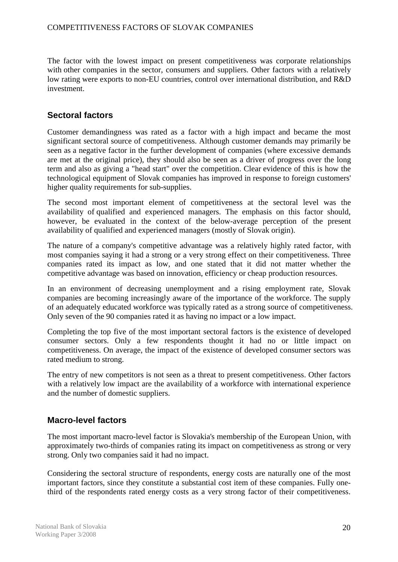The factor with the lowest impact on present competitiveness was corporate relationships with other companies in the sector, consumers and suppliers. Other factors with a relatively low rating were exports to non-EU countries, control over international distribution, and R&D investment.

# **Sectoral factors**

Customer demandingness was rated as a factor with a high impact and became the most significant sectoral source of competitiveness. Although customer demands may primarily be seen as a negative factor in the further development of companies (where excessive demands are met at the original price), they should also be seen as a driver of progress over the long term and also as giving a "head start" over the competition. Clear evidence of this is how the technological equipment of Slovak companies has improved in response to foreign customers' higher quality requirements for sub-supplies.

The second most important element of competitiveness at the sectoral level was the availability of qualified and experienced managers. The emphasis on this factor should, however, be evaluated in the context of the below-average perception of the present availability of qualified and experienced managers (mostly of Slovak origin).

The nature of a company's competitive advantage was a relatively highly rated factor, with most companies saying it had a strong or a very strong effect on their competitiveness. Three companies rated its impact as low, and one stated that it did not matter whether the competitive advantage was based on innovation, efficiency or cheap production resources.

In an environment of decreasing unemployment and a rising employment rate, Slovak companies are becoming increasingly aware of the importance of the workforce. The supply of an adequately educated workforce was typically rated as a strong source of competitiveness. Only seven of the 90 companies rated it as having no impact or a low impact.

Completing the top five of the most important sectoral factors is the existence of developed consumer sectors. Only a few respondents thought it had no or little impact on competitiveness. On average, the impact of the existence of developed consumer sectors was rated medium to strong.

The entry of new competitors is not seen as a threat to present competitiveness. Other factors with a relatively low impact are the availability of a workforce with international experience and the number of domestic suppliers.

# **Macro-level factors**

The most important macro-level factor is Slovakia's membership of the European Union, with approximately two-thirds of companies rating its impact on competitiveness as strong or very strong. Only two companies said it had no impact.

Considering the sectoral structure of respondents, energy costs are naturally one of the most important factors, since they constitute a substantial cost item of these companies. Fully onethird of the respondents rated energy costs as a very strong factor of their competitiveness.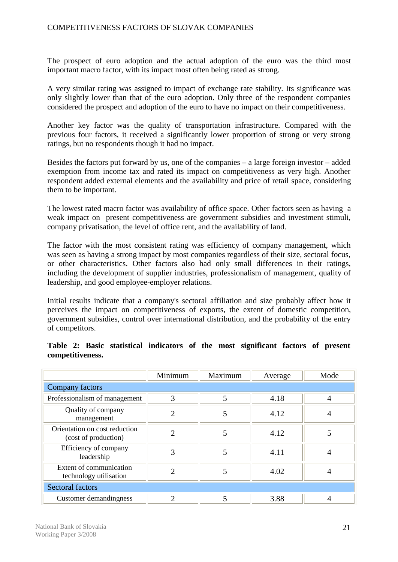The prospect of euro adoption and the actual adoption of the euro was the third most important macro factor, with its impact most often being rated as strong.

A very similar rating was assigned to impact of exchange rate stability. Its significance was only slightly lower than that of the euro adoption. Only three of the respondent companies considered the prospect and adoption of the euro to have no impact on their competitiveness.

Another key factor was the quality of transportation infrastructure. Compared with the previous four factors, it received a significantly lower proportion of strong or very strong ratings, but no respondents though it had no impact.

Besides the factors put forward by us, one of the companies – a large foreign investor – added exemption from income tax and rated its impact on competitiveness as very high. Another respondent added external elements and the availability and price of retail space, considering them to be important.

The lowest rated macro factor was availability of office space. Other factors seen as having a weak impact on present competitiveness are government subsidies and investment stimuli, company privatisation, the level of office rent, and the availability of land.

The factor with the most consistent rating was efficiency of company management, which was seen as having a strong impact by most companies regardless of their size, sectoral focus, or other characteristics. Other factors also had only small differences in their ratings, including the development of supplier industries, professionalism of management, quality of leadership, and good employee-employer relations.

Initial results indicate that a company's sectoral affiliation and size probably affect how it perceives the impact on competitiveness of exports, the extent of domestic competition, government subsidies, control over international distribution, and the probability of the entry of competitors.

|                                                       | Minimum        | Maximum | Average | Mode           |
|-------------------------------------------------------|----------------|---------|---------|----------------|
| Company factors                                       |                |         |         |                |
| Professionalism of management                         | 3              | 5       | 4.18    | $\overline{4}$ |
| Quality of company<br>management                      | $\overline{2}$ | 5       | 4.12    | $\overline{4}$ |
| Orientation on cost reduction<br>(cost of production) | $\mathfrak{D}$ | 5       | 4.12    | 5              |
| Efficiency of company<br>leadership                   | 3              | 5       | 4.11    | $\overline{A}$ |
| Extent of communication<br>technology utilisation     | $\mathcal{D}$  | 5       | 4.02    | 4              |
| <b>Sectoral factors</b>                               |                |         |         |                |
| Customer demandingness                                | ∍              |         | 3.88    |                |

# **Table 2: Basic statistical indicators of the most significant factors of present competitiveness.**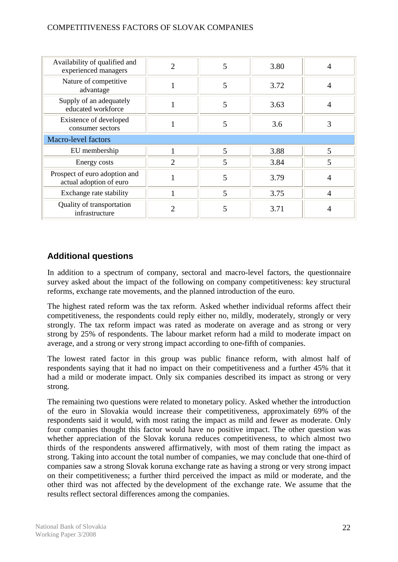| Availability of qualified and<br>experienced managers    | $\overline{2}$ | 5 | 3.80 | $\overline{4}$ |
|----------------------------------------------------------|----------------|---|------|----------------|
| Nature of competitive<br>advantage                       |                | 5 | 3.72 | 4              |
| Supply of an adequately<br>educated workforce            |                | 5 | 3.63 | 4              |
| Existence of developed<br>consumer sectors               |                | 5 | 3.6  | 3              |
| Macro-level factors                                      |                |   |      |                |
| EU membership                                            |                | 5 | 3.88 | 5              |
| Energy costs                                             | $\overline{2}$ | 5 | 3.84 | 5              |
| Prospect of euro adoption and<br>actual adoption of euro |                | 5 | 3.79 | $\overline{4}$ |
| Exchange rate stability                                  |                | 5 | 3.75 | $\overline{4}$ |
| Quality of transportation<br>infrastructure              | 7              | 5 | 3.71 | 4              |

# **Additional questions**

In addition to a spectrum of company, sectoral and macro-level factors, the questionnaire survey asked about the impact of the following on company competitiveness: key structural reforms, exchange rate movements, and the planned introduction of the euro.

The highest rated reform was the tax reform. Asked whether individual reforms affect their competitiveness, the respondents could reply either no, mildly, moderately, strongly or very strongly. The tax reform impact was rated as moderate on average and as strong or very strong by 25% of respondents. The labour market reform had a mild to moderate impact on average, and a strong or very strong impact according to one-fifth of companies.

The lowest rated factor in this group was public finance reform, with almost half of respondents saying that it had no impact on their competitiveness and a further 45% that it had a mild or moderate impact. Only six companies described its impact as strong or very strong.

The remaining two questions were related to monetary policy. Asked whether the introduction of the euro in Slovakia would increase their competitiveness, approximately 69% of the respondents said it would, with most rating the impact as mild and fewer as moderate. Only four companies thought this factor would have no positive impact. The other question was whether appreciation of the Slovak koruna reduces competitiveness, to which almost two thirds of the respondents answered affirmatively, with most of them rating the impact as strong. Taking into account the total number of companies, we may conclude that one-third of companies saw a strong Slovak koruna exchange rate as having a strong or very strong impact on their competitiveness; a further third perceived the impact as mild or moderate, and the other third was not affected by the development of the exchange rate. We assume that the results reflect sectoral differences among the companies.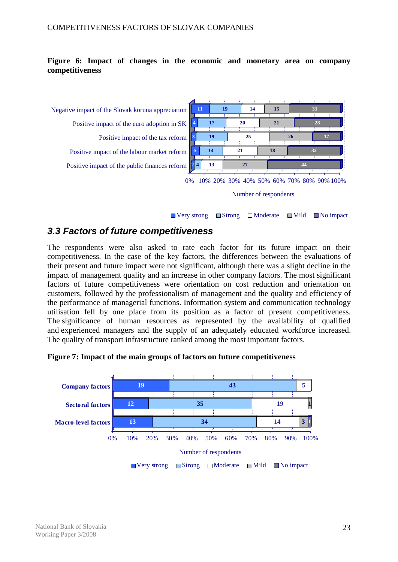# **Figure 6: Impact of changes in the economic and monetary area on company competitiveness**



 $\Box$  Very strong  $\Box$  Strong  $\Box$  Moderate  $\Box$  Mild  $\Box$  No impact

# *3.3 Factors of future competitiveness*

The respondents were also asked to rate each factor for its future impact on their competitiveness. In the case of the key factors, the differences between the evaluations of their present and future impact were not significant, although there was a slight decline in the impact of management quality and an increase in other company factors. The most significant factors of future competitiveness were orientation on cost reduction and orientation on customers, followed by the professionalism of management and the quality and efficiency of the performance of managerial functions. Information system and communication technology utilisation fell by one place from its position as a factor of present competitiveness. The significance of human resources as represented by the availability of qualified and experienced managers and the supply of an adequately educated workforce increased. The quality of transport infrastructure ranked among the most important factors.

**Figure 7: Impact of the main groups of factors on future competitiveness** 

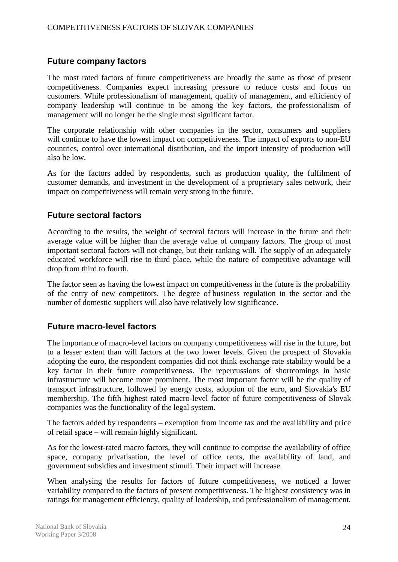# **Future company factors**

The most rated factors of future competitiveness are broadly the same as those of present competitiveness. Companies expect increasing pressure to reduce costs and focus on customers. While professionalism of management, quality of management, and efficiency of company leadership will continue to be among the key factors, the professionalism of management will no longer be the single most significant factor.

The corporate relationship with other companies in the sector, consumers and suppliers will continue to have the lowest impact on competitiveness. The impact of exports to non-EU countries, control over international distribution, and the import intensity of production will also be low.

As for the factors added by respondents, such as production quality, the fulfilment of customer demands, and investment in the development of a proprietary sales network, their impact on competitiveness will remain very strong in the future.

# **Future sectoral factors**

According to the results, the weight of sectoral factors will increase in the future and their average value will be higher than the average value of company factors. The group of most important sectoral factors will not change, but their ranking will. The supply of an adequately educated workforce will rise to third place, while the nature of competitive advantage will drop from third to fourth.

The factor seen as having the lowest impact on competitiveness in the future is the probability of the entry of new competitors. The degree of business regulation in the sector and the number of domestic suppliers will also have relatively low significance.

# **Future macro-level factors**

The importance of macro-level factors on company competitiveness will rise in the future, but to a lesser extent than will factors at the two lower levels. Given the prospect of Slovakia adopting the euro, the respondent companies did not think exchange rate stability would be a key factor in their future competitiveness. The repercussions of shortcomings in basic infrastructure will become more prominent. The most important factor will be the quality of transport infrastructure, followed by energy costs, adoption of the euro, and Slovakia's EU membership. The fifth highest rated macro-level factor of future competitiveness of Slovak companies was the functionality of the legal system.

The factors added by respondents – exemption from income tax and the availability and price of retail space – will remain highly significant.

As for the lowest-rated macro factors, they will continue to comprise the availability of office space, company privatisation, the level of office rents, the availability of land, and government subsidies and investment stimuli. Their impact will increase.

When analysing the results for factors of future competitiveness, we noticed a lower variability compared to the factors of present competitiveness. The highest consistency was in ratings for management efficiency, quality of leadership, and professionalism of management.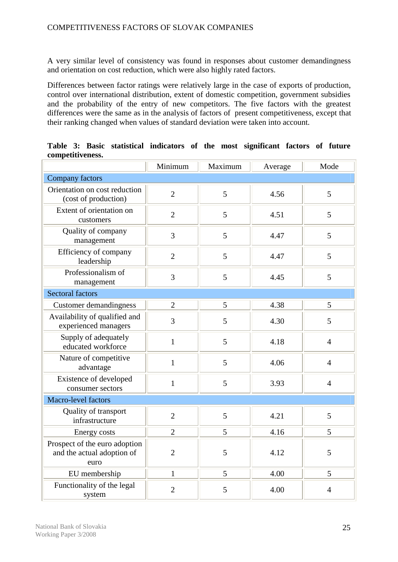A very similar level of consistency was found in responses about customer demandingness and orientation on cost reduction, which were also highly rated factors.

Differences between factor ratings were relatively large in the case of exports of production, control over international distribution, extent of domestic competition, government subsidies and the probability of the entry of new competitors. The five factors with the greatest differences were the same as in the analysis of factors of present competitiveness, except that their ranking changed when values of standard deviation were taken into account.

|                                                                     | Minimum        | Maximum | Average | Mode           |
|---------------------------------------------------------------------|----------------|---------|---------|----------------|
| Company factors                                                     |                |         |         |                |
| Orientation on cost reduction<br>(cost of production)               | $\overline{2}$ | 5       | 4.56    | 5              |
| Extent of orientation on<br>customers                               | $\overline{2}$ | 5       | 4.51    | 5              |
| Quality of company<br>management                                    | 3              | 5       | 4.47    | 5              |
| Efficiency of company<br>leadership                                 | $\overline{2}$ | 5       | 4.47    | 5              |
| Professionalism of<br>management                                    | $\overline{3}$ | 5       | 4.45    | 5              |
| <b>Sectoral factors</b>                                             |                |         |         |                |
| <b>Customer demandingness</b>                                       | $\overline{2}$ | 5       | 4.38    | 5              |
| Availability of qualified and<br>experienced managers               | 3              | 5       | 4.30    | 5              |
| Supply of adequately<br>educated workforce                          | $\mathbf{1}$   | 5       | 4.18    | $\overline{4}$ |
| Nature of competitive<br>advantage                                  | $\mathbf{1}$   | 5       | 4.06    | $\overline{4}$ |
| Existence of developed<br>consumer sectors                          | $\mathbf{1}$   | 5       | 3.93    | $\overline{4}$ |
| Macro-level factors                                                 |                |         |         |                |
| Quality of transport<br>infrastructure                              | $\overline{2}$ | 5       | 4.21    | 5              |
| <b>Energy costs</b>                                                 | $\overline{2}$ | 5       | 4.16    | 5              |
| Prospect of the euro adoption<br>and the actual adoption of<br>euro | $\overline{2}$ | 5       | 4.12    | 5              |
| EU membership                                                       | $\mathbf{1}$   | 5       | 4.00    | 5              |
| Functionality of the legal<br>system                                | $\overline{2}$ | 5       | 4.00    | $\overline{4}$ |

**Table 3: Basic statistical indicators of the most significant factors of future competitiveness.**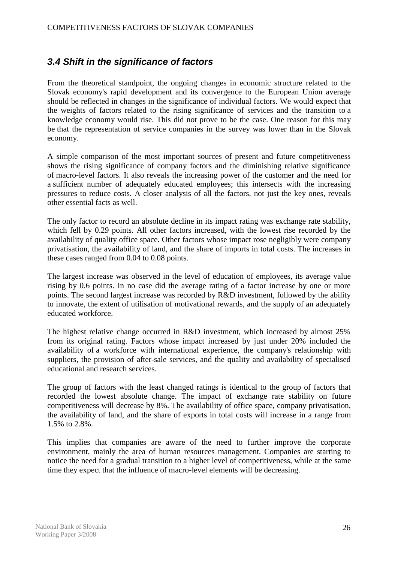# *3.4 Shift in the significance of factors*

From the theoretical standpoint, the ongoing changes in economic structure related to the Slovak economy's rapid development and its convergence to the European Union average should be reflected in changes in the significance of individual factors. We would expect that the weights of factors related to the rising significance of services and the transition to a knowledge economy would rise. This did not prove to be the case. One reason for this may be that the representation of service companies in the survey was lower than in the Slovak economy.

A simple comparison of the most important sources of present and future competitiveness shows the rising significance of company factors and the diminishing relative significance of macro-level factors. It also reveals the increasing power of the customer and the need for a sufficient number of adequately educated employees; this intersects with the increasing pressures to reduce costs. A closer analysis of all the factors, not just the key ones, reveals other essential facts as well.

The only factor to record an absolute decline in its impact rating was exchange rate stability, which fell by 0.29 points. All other factors increased, with the lowest rise recorded by the availability of quality office space. Other factors whose impact rose negligibly were company privatisation, the availability of land, and the share of imports in total costs. The increases in these cases ranged from 0.04 to 0.08 points.

The largest increase was observed in the level of education of employees, its average value rising by 0.6 points. In no case did the average rating of a factor increase by one or more points. The second largest increase was recorded by R&D investment, followed by the ability to innovate, the extent of utilisation of motivational rewards, and the supply of an adequately educated workforce.

The highest relative change occurred in R&D investment, which increased by almost 25% from its original rating. Factors whose impact increased by just under 20% included the availability of a workforce with international experience, the company's relationship with suppliers, the provision of after-sale services, and the quality and availability of specialised educational and research services.

The group of factors with the least changed ratings is identical to the group of factors that recorded the lowest absolute change. The impact of exchange rate stability on future competitiveness will decrease by 8%. The availability of office space, company privatisation, the availability of land, and the share of exports in total costs will increase in a range from 1.5% to 2.8%.

This implies that companies are aware of the need to further improve the corporate environment, mainly the area of human resources management. Companies are starting to notice the need for a gradual transition to a higher level of competitiveness, while at the same time they expect that the influence of macro-level elements will be decreasing.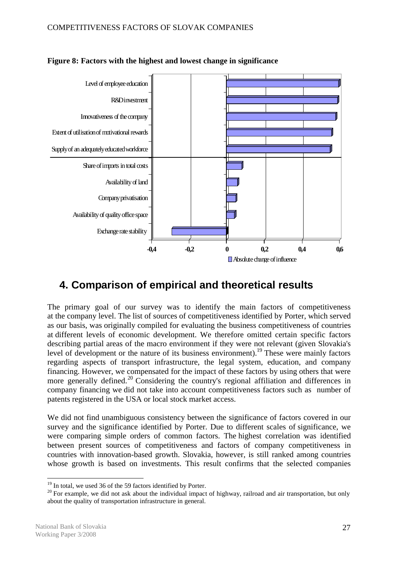

# **Figure 8: Factors with the highest and lowest change in significance**

# **4. Comparison of empirical and theoretical results**

The primary goal of our survey was to identify the main factors of competitiveness at the company level. The list of sources of competitiveness identified by Porter, which served as our basis, was originally compiled for evaluating the business competitiveness of countries at different levels of economic development. We therefore omitted certain specific factors describing partial areas of the macro environment if they were not relevant (given Slovakia's level of development or the nature of its business environment).<sup>19</sup> These were mainly factors regarding aspects of transport infrastructure, the legal system, education, and company financing. However, we compensated for the impact of these factors by using others that were more generally defined.<sup>20</sup> Considering the country's regional affiliation and differences in company financing we did not take into account competitiveness factors such as number of patents registered in the USA or local stock market access.

We did not find unambiguous consistency between the significance of factors covered in our survey and the significance identified by Porter. Due to different scales of significance, we were comparing simple orders of common factors. The highest correlation was identified between present sources of competitiveness and factors of company competitiveness in countries with innovation-based growth. Slovakia, however, is still ranked among countries whose growth is based on investments. This result confirms that the selected companies

 $19$  In total, we used 36 of the 59 factors identified by Porter.

 $20$  For example, we did not ask about the individual impact of highway, railroad and air transportation, but only about the quality of transportation infrastructure in general.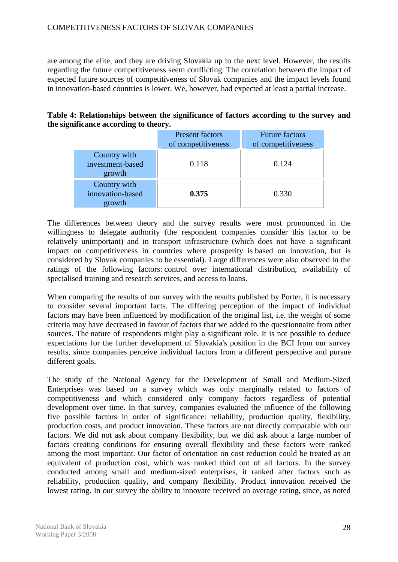are among the elite, and they are driving Slovakia up to the next level. However, the results regarding the future competitiveness seem conflicting. The correlation between the impact of expected future sources of competitiveness of Slovak companies and the impact levels found in innovation-based countries is lower. We, however, had expected at least a partial increase.

## **Table 4: Relationships between the significance of factors according to the survey and the significance according to theory.**

|                                            | <b>Present factors</b><br>of competitiveness | <b>Future factors</b><br>of competitiveness |
|--------------------------------------------|----------------------------------------------|---------------------------------------------|
| Country with<br>investment-based<br>growth | 0.118                                        | 0.124                                       |
| Country with<br>innovation-based<br>growth | 0.375                                        | 0.330                                       |

The differences between theory and the survey results were most pronounced in the willingness to delegate authority (the respondent companies consider this factor to be relatively unimportant) and in transport infrastructure (which does not have a significant impact on competitiveness in countries where prosperity is based on innovation, but is considered by Slovak companies to be essential). Large differences were also observed in the ratings of the following factors: control over international distribution, availability of specialised training and research services, and access to loans.

When comparing the results of our survey with the results published by Porter, it is necessary to consider several important facts. The differing perception of the impact of individual factors may have been influenced by modification of the original list, i.e. the weight of some criteria may have decreased in favour of factors that we added to the questionnaire from other sources. The nature of respondents might play a significant role. It is not possible to deduce expectations for the further development of Slovakia's position in the BCI from our survey results, since companies perceive individual factors from a different perspective and pursue different goals.

The study of the National Agency for the Development of Small and Medium-Sized Enterprises was based on a survey which was only marginally related to factors of competitiveness and which considered only company factors regardless of potential development over time. In that survey, companies evaluated the influence of the following five possible factors in order of significance: reliability, production quality, flexibility, production costs, and product innovation. These factors are not directly comparable with our factors. We did not ask about company flexibility, but we did ask about a large number of factors creating conditions for ensuring overall flexibility and these factors were ranked among the most important. Our factor of orientation on cost reduction could be treated as an equivalent of production cost, which was ranked third out of all factors. In the survey conducted among small and medium-sized enterprises, it ranked after factors such as reliability, production quality, and company flexibility. Product innovation received the lowest rating. In our survey the ability to innovate received an average rating, since, as noted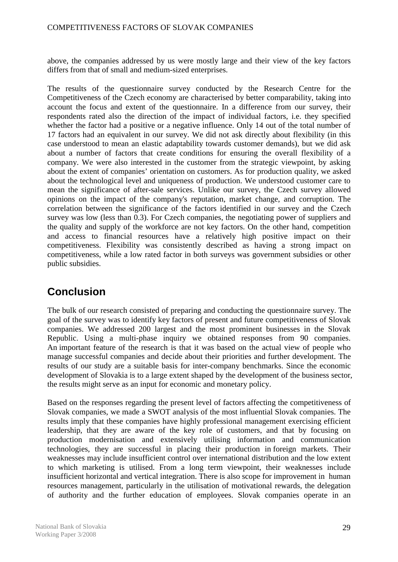above, the companies addressed by us were mostly large and their view of the key factors differs from that of small and medium-sized enterprises.

The results of the questionnaire survey conducted by the Research Centre for the Competitiveness of the Czech economy are characterised by better comparability, taking into account the focus and extent of the questionnaire. In a difference from our survey, their respondents rated also the direction of the impact of individual factors, i.e. they specified whether the factor had a positive or a negative influence. Only 14 out of the total number of 17 factors had an equivalent in our survey. We did not ask directly about flexibility (in this case understood to mean an elastic adaptability towards customer demands), but we did ask about a number of factors that create conditions for ensuring the overall flexibility of a company. We were also interested in the customer from the strategic viewpoint, by asking about the extent of companies' orientation on customers. As for production quality, we asked about the technological level and uniqueness of production. We understood customer care to mean the significance of after-sale services. Unlike our survey, the Czech survey allowed opinions on the impact of the company's reputation, market change, and corruption. The correlation between the significance of the factors identified in our survey and the Czech survey was low (less than 0.3). For Czech companies, the negotiating power of suppliers and the quality and supply of the workforce are not key factors. On the other hand, competition and access to financial resources have a relatively high positive impact on their competitiveness. Flexibility was consistently described as having a strong impact on competitiveness, while a low rated factor in both surveys was government subsidies or other public subsidies.

# **Conclusion**

The bulk of our research consisted of preparing and conducting the questionnaire survey. The goal of the survey was to identify key factors of present and future competitiveness of Slovak companies. We addressed 200 largest and the most prominent businesses in the Slovak Republic. Using a multi-phase inquiry we obtained responses from 90 companies. An important feature of the research is that it was based on the actual view of people who manage successful companies and decide about their priorities and further development. The results of our study are a suitable basis for inter-company benchmarks. Since the economic development of Slovakia is to a large extent shaped by the development of the business sector, the results might serve as an input for economic and monetary policy.

Based on the responses regarding the present level of factors affecting the competitiveness of Slovak companies, we made a SWOT analysis of the most influential Slovak companies. The results imply that these companies have highly professional management exercising efficient leadership, that they are aware of the key role of customers, and that by focusing on production modernisation and extensively utilising information and communication technologies, they are successful in placing their production in foreign markets. Their weaknesses may include insufficient control over international distribution and the low extent to which marketing is utilised. From a long term viewpoint, their weaknesses include insufficient horizontal and vertical integration. There is also scope for improvement in human resources management, particularly in the utilisation of motivational rewards, the delegation of authority and the further education of employees. Slovak companies operate in an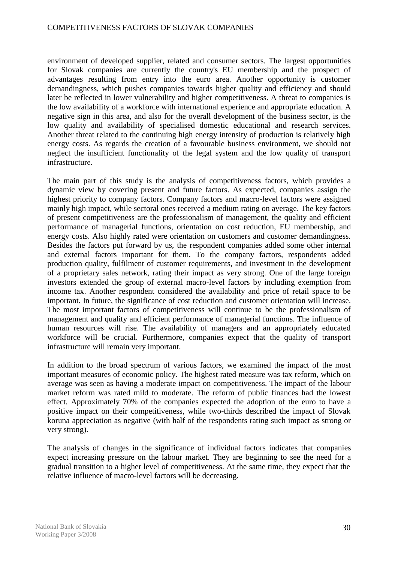environment of developed supplier, related and consumer sectors. The largest opportunities for Slovak companies are currently the country's EU membership and the prospect of advantages resulting from entry into the euro area. Another opportunity is customer demandingness, which pushes companies towards higher quality and efficiency and should later be reflected in lower vulnerability and higher competitiveness. A threat to companies is the low availability of a workforce with international experience and appropriate education. A negative sign in this area, and also for the overall development of the business sector, is the low quality and availability of specialised domestic educational and research services. Another threat related to the continuing high energy intensity of production is relatively high energy costs. As regards the creation of a favourable business environment, we should not neglect the insufficient functionality of the legal system and the low quality of transport infrastructure.

The main part of this study is the analysis of competitiveness factors, which provides a dynamic view by covering present and future factors. As expected, companies assign the highest priority to company factors. Company factors and macro-level factors were assigned mainly high impact, while sectoral ones received a medium rating on average. The key factors of present competitiveness are the professionalism of management, the quality and efficient performance of managerial functions, orientation on cost reduction, EU membership, and energy costs. Also highly rated were orientation on customers and customer demandingness. Besides the factors put forward by us, the respondent companies added some other internal and external factors important for them. To the company factors, respondents added production quality, fulfilment of customer requirements, and investment in the development of a proprietary sales network, rating their impact as very strong. One of the large foreign investors extended the group of external macro-level factors by including exemption from income tax. Another respondent considered the availability and price of retail space to be important. In future, the significance of cost reduction and customer orientation will increase. The most important factors of competitiveness will continue to be the professionalism of management and quality and efficient performance of managerial functions. The influence of human resources will rise. The availability of managers and an appropriately educated workforce will be crucial. Furthermore, companies expect that the quality of transport infrastructure will remain very important.

In addition to the broad spectrum of various factors, we examined the impact of the most important measures of economic policy. The highest rated measure was tax reform, which on average was seen as having a moderate impact on competitiveness. The impact of the labour market reform was rated mild to moderate. The reform of public finances had the lowest effect. Approximately 70% of the companies expected the adoption of the euro to have a positive impact on their competitiveness, while two-thirds described the impact of Slovak koruna appreciation as negative (with half of the respondents rating such impact as strong or very strong).

The analysis of changes in the significance of individual factors indicates that companies expect increasing pressure on the labour market. They are beginning to see the need for a gradual transition to a higher level of competitiveness. At the same time, they expect that the relative influence of macro-level factors will be decreasing.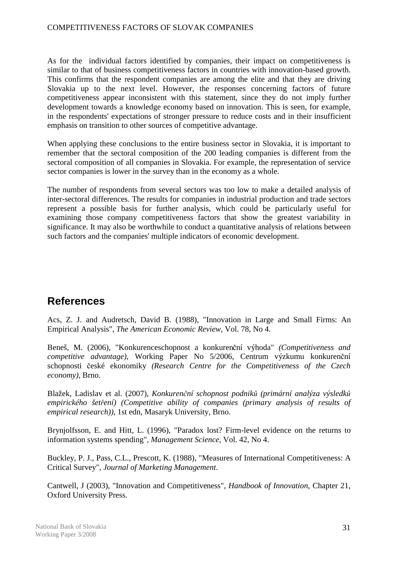As for the individual factors identified by companies, their impact on competitiveness is similar to that of business competitiveness factors in countries with innovation-based growth. This confirms that the respondent companies are among the elite and that they are driving Slovakia up to the next level. However, the responses concerning factors of future competitiveness appear inconsistent with this statement, since they do not imply further development towards a knowledge economy based on innovation. This is seen, for example, in the respondents' expectations of stronger pressure to reduce costs and in their insufficient emphasis on transition to other sources of competitive advantage.

When applying these conclusions to the entire business sector in Slovakia, it is important to remember that the sectoral composition of the 200 leading companies is different from the sectoral composition of all companies in Slovakia. For example, the representation of service sector companies is lower in the survey than in the economy as a whole.

The number of respondents from several sectors was too low to make a detailed analysis of inter-sectoral differences. The results for companies in industrial production and trade sectors represent a possible basis for further analysis, which could be particularly useful for examining those company competitiveness factors that show the greatest variability in significance. It may also be worthwhile to conduct a quantitative analysis of relations between such factors and the companies' multiple indicators of economic development.

# **References**

Acs, Z. J. and Audretsch, David B. (1988), "Innovation in Large and Small Firms: An Empirical Analysis", *The American Economic Review*, Vol. 78, No 4.

Beneš, M. (2006), "Konkurenceschopnost a konkurenční výhoda" *(Competitiveness and competitive advantage)*, Working Paper No 5/2006, Centrum výzkumu konkurenční schopnosti české ekonomiky *(Research Centre for the Competitiveness of the Czech economy)*, Brno.

Blažek, Ladislav et al. (2007), *Konkurenční schopnost podniků (primární analýza výsledků empirického šetření) (Competitive ability of companies (primary analysis of results of empirical research))*, 1st edn, Masaryk University, Brno.

Brynjolfsson, E. and Hitt, L. (1996), "Paradox lost? Firm-level evidence on the returns to information systems spending", *Management Science*, Vol. 42, No 4.

Buckley, P. J., Pass, C.L., Prescott, K. (1988), "Measures of International Competitiveness: A Critical Survey", *Journal of Marketing Management*.

Cantwell, J (2003), "Innovation and Competitiveness", *Handbook of Innovation*, Chapter 21, Oxford University Press.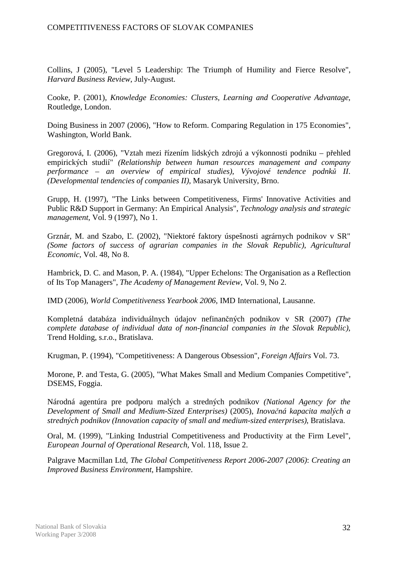Collins, J (2005), "Level 5 Leadership: The Triumph of Humility and Fierce Resolve", *Harvard Business Review*, July-August.

Cooke, P. (2001), *Knowledge Economies: Clusters, Learning and Cooperative Advantage*, Routledge, London.

Doing Business in 2007 (2006), "How to Reform. Comparing Regulation in 175 Economies", Washington, World Bank.

Gregorová, I. (2006), "Vztah mezi řízením lidských zdrojú a výkonnosti podniku – přehled empirických studií" *(Relationship between human resources management and company performance – an overview of empirical studies)*, *Vývojové tendence podnků II*. *(Developmental tendencies of companies II)*, Masaryk University, Brno.

Grupp, H. (1997), "The Links between Competitiveness, Firms' Innovative Activities and Public R&D Support in Germany: An Empirical Analysis", *Technology analysis and strategic management*, Vol. 9 (1997), No 1.

Grznár, M. and Szabo, Ľ. (2002), "Niektoré faktory úspešnosti agrárnych podnikov v SR" *(Some factors of success of agrarian companies in the Slovak Republic)*, *Agricultural Economic*, Vol. 48, No 8.

Hambrick, D. C. and Mason, P. A. (1984), "Upper Echelons: The Organisation as a Reflection of Its Top Managers", *The Academy of Management Review*, Vol. 9, No 2.

IMD (2006), *World Competitiveness Yearbook 2006*, IMD International, Lausanne.

Kompletná databáza individuálnych údajov nefinančných podnikov v SR (2007) *(The complete database of individual data of non-financial companies in the Slovak Republic)*, Trend Holding, s.r.o., Bratislava.

Krugman, P. (1994), "Competitiveness: A Dangerous Obsession", *Foreign Affairs* Vol. 73.

Morone, P. and Testa, G. (2005), "What Makes Small and Medium Companies Competitive", DSEMS, Foggia.

Národná agentúra pre podporu malých a stredných podnikov *(National Agency for the Development of Small and Medium-Sized Enterprises)* (2005), *Inovačná kapacita malých a stredných podnikov (Innovation capacity of small and medium-sized enterprises)*, Bratislava.

Oral, M. (1999), "Linking Industrial Competitiveness and Productivity at the Firm Level", *European Journal of Operational Research*, Vol. 118, Issue 2.

Palgrave Macmillan Ltd, *The Global Competitiveness Report 2006-2007 (2006)*: *Creating an Improved Business Environment*, Hampshire.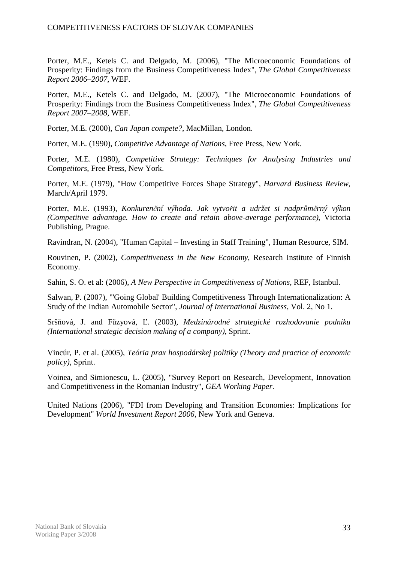Porter, M.E., Ketels C. and Delgado, M. (2006), "The Microeconomic Foundations of Prosperity: Findings from the Business Competitiveness Index", *The Global Competitiveness Report 2006–2007*, WEF.

Porter, M.E., Ketels C. and Delgado, M. (2007), "The Microeconomic Foundations of Prosperity: Findings from the Business Competitiveness Index", *The Global Competitiveness Report 2007–2008*, WEF.

Porter, M.E. (2000), *Can Japan compete?*, MacMillan, London.

Porter, M.E. (1990), *Competitive Advantage of Nations*, Free Press, New York.

Porter, M.E. (1980), *Competitive Strategy: Techniques for Analysing Industries and Competitors*, Free Press, New York.

Porter, M.E. (1979), "How Competitive Forces Shape Strategy", *Harvard Business Review*, March/April 1979.

Porter, M.E. (1993), *Konkurenční výhoda. Jak vytvořit a udržet si nadprůměrný výkon (Competitive advantage. How to create and retain above-average performance)*, Victoria Publishing, Prague.

Ravindran, N. (2004), "Human Capital – Investing in Staff Training", Human Resource, SIM.

Rouvinen, P. (2002), *Competitiveness in the New Economy*, Research Institute of Finnish Economy.

Sahin, S. O. et al: (2006), *A New Perspective in Competitiveness of Nations*, REF, Istanbul.

Salwan, P. (2007), "'Going Global' Building Competitiveness Through Internationalization: A Study of the Indian Automobile Sector", *Journal of International Business*, Vol. 2, No 1.

Sršňová, J. and Fűzyová, Ľ. (2003), *Medzinárodné strategické rozhodovanie podniku (International strategic decision making of a company)*, Sprint.

Vincúr, P. et al. (2005), *Teória prax hospodárskej politiky (Theory and practice of economic policy)*, Sprint.

Voinea, and Simionescu, L. (2005), "Survey Report on Research, Development, Innovation and Competitiveness in the Romanian Industry", *GEA Working Paper*.

United Nations (2006), "FDI from Developing and Transition Economies: Implications for Development" *World Investment Report 2006*, New York and Geneva.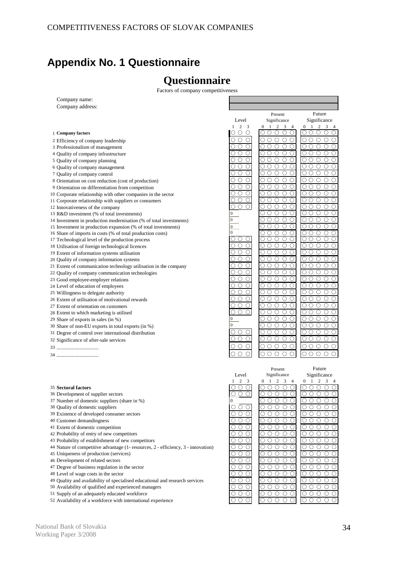# **Appendix No. 1 Questionnaire**

# **Questionnaire**

Factors of company competitiveness

| Company name:                                                                            |                                                 |                                                                                              |                                                                  |
|------------------------------------------------------------------------------------------|-------------------------------------------------|----------------------------------------------------------------------------------------------|------------------------------------------------------------------|
| Company address:                                                                         |                                                 |                                                                                              |                                                                  |
|                                                                                          |                                                 |                                                                                              |                                                                  |
|                                                                                          |                                                 | Present                                                                                      | Future                                                           |
|                                                                                          | Level                                           | Significance                                                                                 | Significance                                                     |
|                                                                                          | $\mathbf{1}$<br>2 <sup>3</sup>                  | 1<br>$\overline{2}$<br>$\Omega$<br>3                                                         | $\overline{0}$<br>2<br>1<br>3<br>$\overline{4}$                  |
| 1 Company factors                                                                        | O<br>O<br>O                                     | $\left( \right)$<br>$\left(\begin{array}{c} \end{array}\right)$<br>O<br>O<br>$\left(\right)$ | ∩<br>O<br>C<br>$\left(\right)$<br>O                              |
| 2 Efficiency of company leadership                                                       | ∩<br>О                                          | $\bigcirc$<br>$\bigcirc$<br>$\circ$<br>О                                                     | $\bigcirc$<br>$\circ$<br>$\circ$<br>О<br>C                       |
| 3 Professionalism of management                                                          | ◯<br>∩                                          | Ο<br>$\overline{\circ}$<br>$\bigcirc$<br>∩<br>Ο                                              | Ο<br>$\bigcirc$<br>$\bigcirc$<br>0<br>C                          |
| 4 Quality of company infrastructure                                                      | $\circ$<br>$\left( \right)$                     | OΟ<br>$\circ$<br>$\circ$<br>O                                                                | О<br>$\circ$<br>$\circ$<br>ОC                                    |
| 5 Quality of company planning                                                            | ∩                                               | O<br>Ο<br>Ο<br>Ο<br>∩                                                                        | О<br>$\circ$<br>$\circ$<br>О<br>C                                |
| 6 Quality of company management                                                          | $\circ$<br>Ω<br>O                               | $\overline{O}$<br>$\overline{\circ}$<br>$\bigcirc$<br>$\circ$<br>О                           | $\circ$<br>О<br>$\circ$<br>$\circ$<br>C                          |
| 7 Quality of company control                                                             | $\circ$<br>( )<br>$\left( \right)$              | O<br>Ο<br>O<br>O<br>O                                                                        | О<br>O<br>О<br>О<br>C                                            |
|                                                                                          | O<br>O<br>O                                     | $\circ$<br>$\circ$<br>$\bigcirc$<br>О<br>Ο                                                   | Ο<br>$\circ$<br>Ο<br>Ο<br>C                                      |
| 8 Orientation on cost reduction (cost of production)                                     | $\bigcirc$<br>Ω<br>∩                            | $\bigcirc$<br>Ω<br>$\bigcirc$<br>◯<br>Ω                                                      | Ο<br>$\bigcirc$<br>$\circ$<br>C<br>Ο                             |
| 9 Orientation on differentiation from competition                                        |                                                 |                                                                                              |                                                                  |
| 10 Corporate relationship with other companies in the sector                             | $\left(\right)$<br>$\left(\right)$              | $\bigcirc$<br>$\bigcirc$<br>O<br>O<br>$\circ$                                                | О<br>∩<br>$\bigcirc$<br>$\circ$ $\circ$                          |
| 11 Corporate relationship with suppliers or consumers                                    |                                                 | $\bigcirc$<br>O<br>O<br>О<br>O                                                               | О<br>O<br>O<br>О<br>C                                            |
| 12 Innovativeness of the company                                                         | $\bigcirc$<br>∩<br>O                            | $\bigcirc$<br>$\bigcirc$<br>$\bigcirc$<br>∩<br>∩                                             | Ο<br>$\bigcirc$<br>$\bigcirc$<br>0<br>C                          |
| 13 R&D investment (% of total investments)                                               | $\boldsymbol{0}$                                | $\circ$<br>O O<br>O<br>O                                                                     | $\circ$<br>O<br>O<br>C                                           |
| 14 Investment in production modernisation (% of total investments)                       | $\boldsymbol{0}$                                | OΟ<br>$\bigcirc$<br>O<br>∩                                                                   | Ο<br>$\bigcirc$<br>$\bigcirc$<br>$\bigcirc$<br>C                 |
| 15 Investment in production expansion (% of total investments)                           | $\overline{0}$                                  | О<br>$\circ$<br>O<br>Ω<br>Ω                                                                  | О<br>$\circ$<br>$\circ$<br>О<br>C                                |
| 16 Share of imports in costs (% of total production costs)                               | $\overline{0}$                                  | О<br>$\bigcirc$<br>Ω<br>O<br>О                                                               | $\bigcirc$<br>$\bigcirc$<br>О<br>$\bigcirc$<br>C                 |
| 17 Technological level of the production process                                         | ()<br>()                                        | ∩<br>( )<br>( )                                                                              | О<br>∩<br>С<br>()                                                |
| 18 Utilisation of foreign technological licences                                         | $\circ$<br>◯<br>()                              | $\circ$<br>$\circ$<br>∩<br>O<br>O                                                            | О<br>◯<br>$\circ$<br>$\circ$ $\circ$                             |
| 19 Extent of information systems utilisation                                             | O<br>$\bigcirc$                                 | O<br>$\circ$<br>O<br>Ο<br>Ο                                                                  | Ο<br>O<br>O<br>О<br>C                                            |
| 20 Quality of company information systems                                                | $\bigcirc$<br>∩<br>O                            | $\bigcirc$<br>$\bigcirc$<br>0<br>◯<br>Ω                                                      | Ο<br>$\bigcirc$<br>$\circ$<br>Ο<br>C                             |
| 21 Extent of communication technology utilisation in the company                         | OΟ<br>$\bigcirc$                                | $\bigcirc$<br>$\bigcirc$<br>○<br>O<br>$\circ$                                                | О<br>∩<br>○<br>$\circ$ $\circ$                                   |
| 22 Quality of company communication technologies                                         | ◯<br>∩                                          | $\bigcirc$<br>Ω<br>O<br>O<br>О                                                               | О<br>O<br>O<br>О<br>C                                            |
| 23 Good employee-employer relations                                                      | $\circ$<br>∩<br>∩                               | $\bigcirc$<br>$\bigcirc$<br>$\bigcirc$<br>∩<br>∩                                             | О<br>$\bigcirc$<br>$\bigcirc$<br>$\bigcirc$<br>C                 |
| 24 Level of education of employees                                                       | OΟ<br>$\left(\right)$                           | $\circ$<br>$\circ$<br>O<br>O                                                                 | О<br>$\circ$<br>$\circ$<br>$\circ$ $\circ$                       |
|                                                                                          | $\bigcirc$                                      | ∩<br>$\bigcirc$<br>Ο<br>Ο<br>Ο                                                               | Ο<br>O<br>O<br>О<br>C                                            |
| 25 Willingness to delegate authority<br>26 Extent of utilisation of motivational rewards | $\bigcirc$<br>Ω<br>( )                          | $\circ$<br>$\circ$<br>$\circ$<br>$\bigcirc$                                                  | $\circ$<br>$\circ$<br>$\circ$<br>$\circ$<br>C                    |
|                                                                                          | ◯<br>$\left( \right)$                           | OΟ<br>$\circ$<br>O<br>O                                                                      | О<br>O<br>$\circ$<br>$\circ$<br>C                                |
| 27 Extent of orientation on customers                                                    | ∩<br>∩                                          | ∩<br>O<br>O<br>O<br>О                                                                        | О<br>O<br>O<br>O<br>C                                            |
| 28 Extent to which marketing is utilised                                                 | $\theta$                                        | $\circ \circ \circ$<br>$\circ$<br>О                                                          | $\circ$<br>О<br>$\circ$                                          |
| 29 Share of exports in sales (in %)                                                      | $\overline{0}$                                  |                                                                                              | $\circ$<br>C                                                     |
| 30 Share of non-EU exports in total exports (in %)                                       |                                                 | OΟ<br>$\circ$<br>O<br>O                                                                      | О<br>$\circ$<br>$\circ$<br>$\circ$<br>C                          |
| 31 Degree of control over international distribution                                     | ∩<br>$\left( \right)$                           | $\bigcirc$<br>○<br>∩<br>Ω<br>O                                                               | Ω<br>◯<br>$\circ$<br>$\circ$ $\circ$                             |
| 32 Significance of after-sale services                                                   | $\left(\right)$                                 | 0000<br>O                                                                                    | 000 0 C                                                          |
|                                                                                          |                                                 | O<br>$\circ$<br>$\circ$<br>O<br>O                                                            | $\circ$<br>◯<br>O<br>ОС                                          |
|                                                                                          | ∩<br>$\scriptstyle\textcircled{\scriptsize{1}}$ | O<br>$\bigcirc$<br>$\circ$<br>∩<br>∩                                                         | О<br>$\bigcirc$<br>$\circ$<br>ОC                                 |
|                                                                                          |                                                 |                                                                                              |                                                                  |
|                                                                                          |                                                 | Present                                                                                      | Future                                                           |
|                                                                                          | Level                                           | Significance                                                                                 | Significance                                                     |
|                                                                                          | 2                                               | 0<br>1<br>2<br>3                                                                             | 2<br>0<br>1<br>3                                                 |
| 35 Sectoral factors                                                                      |                                                 | $\left(\cdot\right)$<br>O                                                                    | $\left(\right)$<br>$\left(\right)$<br>O<br>€                     |
|                                                                                          | ○<br>$\bigcirc$<br>∩                            | $\circ$<br>$\circ$<br>$\circ$<br>$\circ$<br>$\bigcirc$                                       | O<br>$\bigcirc$<br>$O$ $O$ $C$                                   |
| 36 Development of supplier sectors<br>37 Number of domestic suppliers (share in %)       | $\boldsymbol{0}$                                | $\circ$<br>$\circ$<br>$\circ$<br>$\circ$<br>O                                                | $\circ$<br>$\circ \circ \circ \circ$                             |
|                                                                                          | Ω<br>∩<br>∩                                     | $\bigcirc$<br>$\circ$<br>$\circ$                                                             | O<br>$\overline{\circ} \circ \circ \circ$                        |
| 38 Quality of domestic suppliers                                                         |                                                 | O<br>О                                                                                       |                                                                  |
| 39 Existence of developed consumer sectors                                               | 000                                             | $\circ \circ \circ$<br>$\circ$<br>O                                                          | $\circ$<br>O O O C                                               |
| 40 Customer demandingness                                                                | OΟ<br>O                                         | $\circ$<br>О<br>$\circ$<br>O<br>О                                                            | О<br>$\circ$<br>$\circ \circ \circ$                              |
| 41 Extent of domestic competition                                                        | $\circ$ $\circ$<br>0                            | $\circ \circ \circ$<br>$\circ$<br>O                                                          | $\circ$<br>0000                                                  |
| 42 Probability of entry of new competitors                                               | O O<br>$\circ$                                  | $\circ \circ \circ$<br>$\circ$<br>O                                                          | О<br>O<br>O O C                                                  |
| 43 Probability of establishment of new competitors                                       | ΟO<br>$\circ$                                   | $\circ$<br>$\circ$<br>O<br>O<br>$\circ$                                                      | О<br>O<br>$\circ \circ \circ$                                    |
| 44 Nature of competitive advantage (1- resources, 2 - efficiency, 3 - innovation)        | $\circ$<br>О<br>◯                               | $\circ \circ \circ$<br>$\circ$<br>O                                                          | $\overline{O}$ $\overline{O}$ $\overline{O}$ $\overline{O}$<br>О |
| 45 Uniqueness of production (services)                                                   | $\circ \circ \circ$                             | $\circ \circ \circ$<br>$\circ$<br>O                                                          | O<br>$\circ$<br>$\circ \circ \circ$                              |
| 46 Development of related sectors                                                        | $\circ$<br>O.<br>$\left( \right)$               | O<br>$\circ$<br>$\circ$<br>O<br>O                                                            | О<br>O<br>$\circ \circ \circ$                                    |
| 47 Degree of business regulation in the sector                                           | $\circ \circ \circ$                             | $\circ \circ \circ \circ$<br>O                                                               | O O O C<br>O                                                     |
| 48 Level of wage costs in the sector                                                     | $\circ$<br>O<br>O.                              | $\circ$<br>$\circ$<br>$\circ$<br>$\circ$<br>O                                                | $\circ$<br>O<br>O O C                                            |
| 49 Quality and availability of specialised educational and research services             | OΟ<br>$\bigcirc$                                | О<br>$\circ$<br>$\circ$<br>O<br>O                                                            | О<br>$\circ$<br>$\circ \circ \circ$                              |
| 50 Availability of qualified and experienced managers                                    | $\circ \circ \circ$                             | $\circ\circ\circ\circ$<br>$\circ$                                                            | 00000                                                            |
| 51 Supply of an adequately educated workforce                                            | $\circ \circ \circ$                             | $\circ \circ \circ \circ$<br>$\circ$                                                         | $\circ \circ \circ \circ \circ \circ$                            |
| 52 Availability of a workforce with international experience                             | $\circ \circ \circ$                             | $\circ \circ \circ \circ$<br>$\circ$                                                         | 00000                                                            |
|                                                                                          |                                                 |                                                                                              |                                                                  |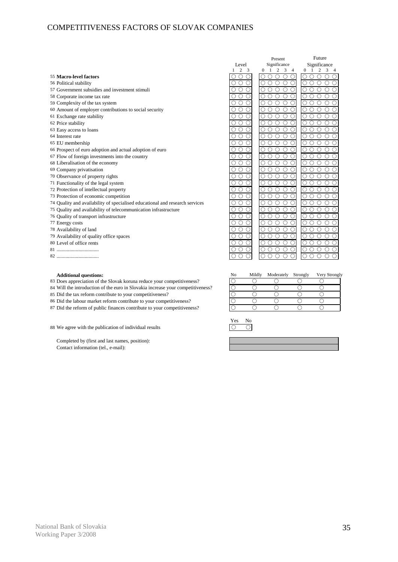|                                                                              |                      | Present                                                                      | Future                                                    |
|------------------------------------------------------------------------------|----------------------|------------------------------------------------------------------------------|-----------------------------------------------------------|
|                                                                              | Level                | Significance                                                                 | Significance                                              |
|                                                                              | 2 <sup>3</sup>       | $\overline{2}$<br>$\overline{\mathbf{3}}$<br>1<br>$\Omega$<br>$\overline{4}$ | $\Omega$<br>2<br>$\overline{1}$<br>3<br>-4                |
| 55 Macro-level factors                                                       | O                    | ∩<br>$\left(\begin{smallmatrix} 1 \\ 1 \end{smallmatrix}\right)$             | ∩                                                         |
| 56 Political stability                                                       | O<br>O               | ∩<br>∩<br>∩                                                                  | ∩                                                         |
| 57 Government subsidies and investment stimuli                               | $\bigcirc$           | ∩<br>∩                                                                       | O<br>∩                                                    |
| 58 Corporate income tax rate                                                 | ∩<br>0               | ∩<br>∩<br>∩                                                                  | ∩                                                         |
| 59 Complexity of the tax system                                              | $\circ$<br>∩<br>Ω    | ∩<br>∩<br>∩<br>∩                                                             | Ο<br>∩                                                    |
| 60 Amount of employer contributions to social security                       | ∩<br>C               | $\circ$<br>∩<br>∩                                                            | ∩                                                         |
| 61 Exchange rate stability                                                   | ∩<br>∩               | ◯<br>$\bigcirc$<br>∩                                                         | ∩<br>∩<br>∩                                               |
| 62 Price stability                                                           | $\circ$<br>∩<br>О    | Ō<br>О<br>$\bigcirc$<br>$\bigcirc$                                           | О<br>◯<br>$\bigcirc$<br>∩<br>∩                            |
| 63 Easy access to loans                                                      | Ο<br>$\circ$<br>О    | Ο<br>$\bigcirc$<br>Ο<br>∩<br>Ω                                               | ∩<br>O<br>∩<br>Ω                                          |
| 64 Interest rate                                                             | $\bigcirc$<br>О      | ∩<br>◯<br>О<br>∩                                                             | О<br>О                                                    |
| 65 EU membership                                                             | ◯<br>O               | ∩<br>ົ                                                                       | O                                                         |
| 66 Prospect of euro adoption and actual adoption of euro                     | O                    | ∩<br>∩<br>∩                                                                  | Ο<br>∩                                                    |
| 67 Flow of foreign investments into the country                              | ∩<br>O               | ∩<br>∩<br>∩<br>∩                                                             | ∩<br>O<br>$\left(\begin{array}{c} \end{array}\right)$     |
| 68 Liberalisation of the economy                                             | Ō<br>$\bigcirc$<br>∩ | ೧<br>∩<br>∩<br>$\bigcap$                                                     | $\overline{\bigcirc}$<br>∩<br>∩                           |
| 69 Company privatisation                                                     | $\circ$<br>Ō<br>Ο    | Ō<br>∩<br>∩<br>$\bigcap$<br>O                                                | Ō<br>$\bigcirc$<br>$\bigcirc$<br>∩                        |
| 70 Observance of property rights                                             | $\bigcirc$<br>∩      | ∩<br>∩                                                                       | ∩                                                         |
| 71 Functionality of the legal system                                         | $\bigcirc$<br>Ο<br>О | Ο<br>Ο<br>$\bigcirc$<br>∩<br>Ο                                               | О<br>$\bigcirc$<br>∩<br>∩<br>∩                            |
| 72 Protection of intellectual property                                       | $\bigcirc$<br>O      | ∩<br>$\overline{\circ}$<br>∩<br>O                                            | О<br>О<br>∩                                               |
| 73 Protection of economic competition                                        | $\bigcirc$<br>∩<br>О | ∩<br>∩<br>∩<br>∩                                                             | О<br>Ο                                                    |
| 74 Quality and availability of specialised educational and research services | O                    |                                                                              |                                                           |
| 75 Quality and availability of telecommunication infrastructure              | $\bigcirc$<br>◯<br>O | ∩<br>∩<br>∩<br>∩<br>∩                                                        | ◯<br>Ω<br>∩                                               |
| 76 Quality of transport infrastructure                                       | $\bigcirc$<br>∩<br>O | $\circ$<br>$\overline{O}$<br>∩<br>∩<br>O                                     | $\circlearrowright$<br>$\bigcirc$<br>$\bigcirc$<br>∩<br>∩ |
| 77 Energy costs                                                              | ∩<br>$\bigcirc$<br>Ο | Ο<br>$\bigcirc$<br>$\bigcirc$<br>∩                                           | ◯<br>$\bigcirc$<br>$\bigcirc$<br>∩<br>∩                   |
| 78 Availability of land                                                      | Ο<br>$\bigcirc$<br>О | Ο<br>$\bigcirc$<br>Ο<br>∩                                                    | О<br>∩<br>∩<br>$\bigcirc$                                 |
| 79 Availability of quality office spaces                                     | $\circ$<br>О         | ∩<br>∩<br>$\bigcirc$<br>∩<br>∩                                               | $\bigcirc$<br>О<br>∩                                      |
| 80 Level of office rents                                                     | $\circ$<br>O         | Ō<br>O<br>$\bigcirc$<br>Ο<br>∩                                               | О<br>Ο<br>∩<br>∩                                          |
|                                                                              | $\bigcirc$<br>O      | ∩<br>∩<br>∩<br>O                                                             | ∩<br>∩<br>O<br>∩                                          |
|                                                                              | $\circ$<br>О<br>O    | O<br>∩<br>Ω<br>$\bigcirc$<br>Ω                                               | Ο<br>$\bigcirc$<br>∩<br>Ω                                 |

- 
- 82 ................................. 0 0 0

- 83 Does appreciation of the Slovak koruna reduce your competitiveness?
- 84 Will the introduction of the euro in Slovakia increase your competitiveness?
- 85 Did the tax reform contribute to your competitiveness?
- 86 Did the labour market reform contribute to your competitiveness?
- 87 Did the reform of public finances contribute to your competitiveness?
- 88 We agree with the publication of individual results  $\bigcirc$

Completed by (first and last names, position): Contact information (tel., e-mail):

| <b>Additional questions:</b>                                                 | No | Mildly | Moderately | Strongly | Very Strongly |
|------------------------------------------------------------------------------|----|--------|------------|----------|---------------|
| Does appreciation of the Slovak koruna reduce your competitiveness?          |    |        |            |          |               |
| Will the introduction of the euro in Slovakia increase your competitiveness? |    |        |            |          |               |
| Did the tax reform contribute to your competitiveness?                       |    |        |            |          |               |
| Did the labour market reform contribute to your competitiveness?             |    |        |            |          |               |
| Did the reform of public finances contribute to your competitiveness?        |    |        |            |          |               |

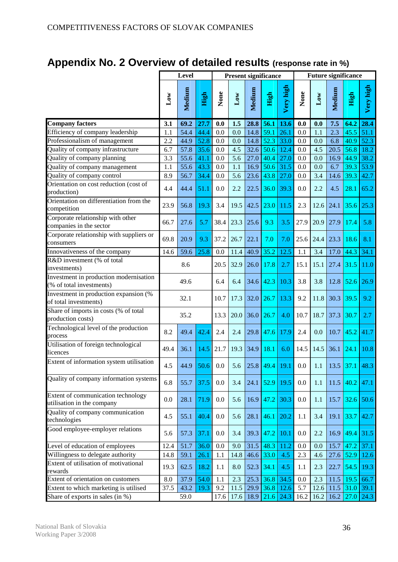# **Appendix No. 2 Overview of detailed results (response rate in %)**

|                                                                    |              | Level  |      | <b>Present significance</b> |      |        |                        |           | <b>Future significance</b> |              |        |                |           |
|--------------------------------------------------------------------|--------------|--------|------|-----------------------------|------|--------|------------------------|-----------|----------------------------|--------------|--------|----------------|-----------|
|                                                                    | $_{\rm Low}$ | Medium | High | None                        | Low  | Medium | High                   | Very high | None                       | $_{\rm Low}$ | Medium | High           | Very high |
| <b>Company factors</b>                                             | 3.1          | 69.2   | 27.7 | 0.0                         | 1.5  | 28.8   | 56.1                   | 13.6      | 0.0                        | 0.0          | 7.5    | 64.2           | 28.4      |
| Efficiency of company leadership                                   | 1.1          | 54.4   | 44.4 | 0.0                         | 0.0  | 14.8   | 59.1                   | 26.1      | 0.0                        | 1.1          | 2.3    | 45.5           | 51.1      |
| Professionalism of management                                      | 2.2          | 44.9   | 52.8 | 0.0                         | 0.0  | 14.8   | 52.3                   | 33.0      | 0.0                        | 0.0          | 6.8    | 40.9           | 52.3      |
| Quality of company infrastructure                                  | 6.7          | 57.8   | 35.6 | 0.0                         | 4.5  | 32.6   | 50.6                   | 12.4      | 0.0                        | 4.5          | 20.5   | 56.8           | 18.2      |
| Quality of company planning                                        | 3.3          | 55.6   | 41.1 | 0.0                         | 5.6  | 27.0   | 40.4                   | 27.0      | 0.0                        | 0.0          | 16.9   | 44.9           | 38.2      |
| Quality of company management                                      | 1.1          | 55.6   | 43.3 | 0.0                         | 1.1  | 16.9   | 50.6                   | 31.5      | 0.0                        | 0.0          | 6.7    | 39.3           | 53.9      |
| Quality of company control                                         | 8.9          | 56.7   | 34.4 | 0.0                         | 5.6  | 23.6   | 43.8                   | 27.0      | 0.0                        | 3.4          | 14.6   | 39.3           | 42.7      |
| Orientation on cost reduction (cost of<br>production)              | 4.4          | 44.4   | 51.1 | 0.0                         | 2.2  | 22.5   | 36.0                   | 39.3      | 0.0                        | 2.2          | 4.5    | 28.1           | 65.2      |
| Orientation on differentiation from the<br>competition             | 23.9         | 56.8   | 19.3 | 3.4                         | 19.5 | 42.5   | 23.0                   | 11.5      | 2.3                        | 12.6         | 24.1   | 35.6           | 25.3      |
| Corporate relationship with other<br>companies in the sector       | 66.7         | 27.6   | 5.7  | 38.4                        | 23.3 | 25.6   | 9.3                    | 3.5       | 27.9                       | 20.9         | 27.9   | 17.4           | 5.8       |
| Corporate relationship with suppliers or<br>consumers              | 69.8         | 20.9   | 9.3  | 37.2                        | 26.7 | 22.1   | 7.0                    | 7.0       | 25.6                       | 24.4         | 23.3   | 18.6           | 8.1       |
| Innovativeness of the company                                      | 14.6         | 59.6   | 25.8 | 0.0                         | 11.4 | 40.9   | 35.2                   | 12.5      | 1.1                        | 3.4          | 17.0   | 44.3           | 34.1      |
| R&D investment (% of total<br>investments)                         |              | 8.6    |      | 20.5                        | 32.9 | 26.0   | 17.8                   | 2.7       | 15.1                       | 15.1         | 27.4   | 31.5           | 11.0      |
| Investment in production modernisation<br>(% of total investments) |              | 49.6   |      | 6.4                         | 6.4  |        | $34.6$ 42.3            | 10.3      | 3.8                        | 3.8          | 12.8   | $52.6$         | 26.9      |
| Investment in production expansion (%<br>of total investments)     |              | 32.1   |      | 10.7                        | 17.3 | 32.0   | 26.7                   | 13.3      | 9.2                        | 11.8         | 30.3   | 39.5           | 9.2       |
| Share of imports in costs (% of total<br>production costs)         |              | 35.2   |      | 13.3                        | 20.0 | 36.0   | 26.7                   | 4.0       | 10.7                       | 18.7         | 37.3   | 30.7           | 2.7       |
| Technological level of the production<br>process                   | 8.2          | 49.4   | 42.4 | 2.4                         | 2.4  | 29.8   | 47.6                   | 17.9      | 2.4                        | 0.0          | 10.7   | 45.2           | 41.7      |
| Utilisation of foreign technological<br>licences                   | 49.4         | 36.1   | 14.5 | 21.7                        | 19.3 | 34.9   | 18.1                   | 6.0       | 14.5                       | 14.5         | 36.1   | 24.1           | 10.8      |
| Extent of information system utilisation                           | 4.5          | 44.9   | 50.6 | $0.0\,$                     | 5.6  |        | $25.8$ 49.4 19.1       |           | $0.0\,$                    | 1.1          |        | $13.5$ 37.1    | 48.3      |
| Quality of company information systems                             | 6.8          | 55.7   | 37.5 | 0.0                         | 3.4  | 24.1   | $\vert$ 52.9           | 19.5      | 0.0                        | 1.1          | 11.5   | 40.2           | 47.1      |
| Extent of communication technology<br>utilisation in the company   | 0.0          | 28.1   | 71.9 | 0.0                         | 5.6  |        | $16.9$ 47.2            | 30.3      | 0.0                        | 1.1          | 15.7   | 32.6           | 50.6      |
| Quality of company communication<br>technologies                   | 4.5          | 55.1   | 40.4 | 0.0                         | 5.6  |        | $28.1 \,   \, 46.1 \,$ | 20.2      | 1.1                        | 3.4          | 19.1   | 33.7           | 42.7      |
| Good employee-employer relations                                   | 5.6          | 57.3   | 37.1 | 0.0                         | 3.4  |        | $39.3$ 47.2            | 10.1      | 0.0                        | 2.2          | 16.9   | $ 49.4\rangle$ | 31.5      |
| Level of education of employees                                    | 12.4         | 51.7   | 36.0 | 0.0                         | 9.0  |        | $31.5 \,   \, 48.3 \,$ | 11.2      | 0.0                        | 0.0          | 15.7   | 47.2           | 37.1      |
| Willingness to delegate authority                                  | 14.8         | 59.1   | 26.1 | 1.1                         | 14.8 | 46.6   | 33.0                   | 4.5       | 2.3                        | 4.6          | 27.6   | $52.9$         | 12.6      |
| Extent of utilisation of motivational<br>rewards                   | 19.3         | 62.5   | 18.2 | 1.1                         | 8.0  | 52.3   | 34.1                   | 4.5       | 1.1                        | 2.3          | 22.7   | 54.5           | 19.3      |
| Extent of orientation on customers                                 | 8.0          | 37.9   | 54.0 | 1.1                         | 2.3  | 25.3   | 36.8                   | 34.5      | 0.0                        | 2.3          | 11.5   | 19.5           | 66.7      |
| Extent to which marketing is utilised                              | 37.5         | 43.2   | 19.3 | 9.2                         | 11.5 | 29.9   | 36.8                   | 12.6      | 5.7                        | 12.6         | 11.5   | 31.0           | 39.1      |
| Share of exports in sales (in %)                                   |              | 59.0   |      | 17.6                        | 17.6 | 18.9   | 21.6                   | 24.3      | 16.2                       | 16.2         |        | $16.2$ 27.0    | 24.3      |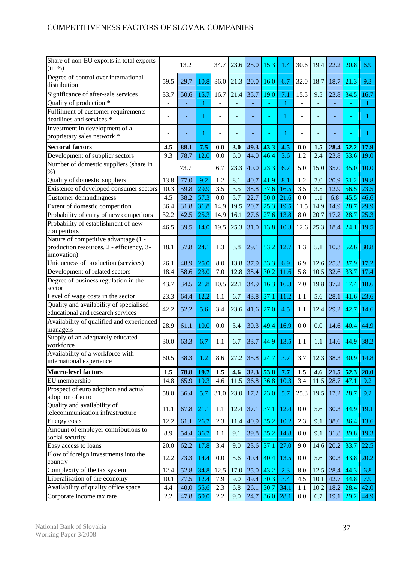| Share of non-EU exports in total exports<br>(in %)                                              |      | 13.2 |      | 34.7 | 23.6 | 25.0 | 15.3 | 1.4  | 30.6 | 19.4 | 22.2 | 20.8 | 6.9  |
|-------------------------------------------------------------------------------------------------|------|------|------|------|------|------|------|------|------|------|------|------|------|
| Degree of control over international<br>distribution                                            | 59.5 | 29.7 | 10.8 | 36.0 | 21.3 | 20.0 | 16.0 | 6.7  | 32.0 | 18.7 | 18.7 | 21.3 | 9.3  |
| Significance of after-sale services                                                             | 33.7 | 50.6 | 15.7 | 16.7 | 21.4 | 35.7 | 19.0 | 7.1  | 15.5 | 9.5  | 23.8 | 34.5 | 16.7 |
| Quality of production *                                                                         |      |      |      |      |      |      |      | 1    |      |      |      |      |      |
| Fulfilment of customer requirements -<br>deadlines and services *                               |      |      |      |      |      |      | Ξ    | 1    |      |      |      |      |      |
| Investment in development of a                                                                  |      |      |      |      |      |      |      |      |      |      |      |      |      |
| proprietary sales network *                                                                     |      |      | П    |      |      |      |      | 1    |      |      |      |      |      |
| <b>Sectoral factors</b>                                                                         | 4.5  | 88.1 | 7.5  | 0.0  | 3.0  | 49.3 | 43.3 | 4.5  | 0.0  | 1.5  | 28.4 | 52,2 | 17.9 |
| Development of supplier sectors                                                                 | 9.3  | 78.7 | 12.0 | 0.0  | 6.0  | 44.0 | 46.4 | 3.6  | 1.2  | 2.4  | 23.8 | 53.6 | 19.0 |
| Number of domestic suppliers (share in                                                          |      |      |      |      |      |      |      |      |      |      |      |      |      |
| $%$ )                                                                                           |      | 73.7 |      | 6.7  | 23.3 | 40.0 | 23.3 | 6.7  | 5.0  | 15.0 | 35.0 | 35.0 | 10.0 |
| Quality of domestic suppliers                                                                   | 13.8 | 77.0 | 9.2  | 1.2  | 8.1  | 40.7 | 41.9 | 8.1  | 1.2  | 7.0  | 20.9 | 51.2 | 19.8 |
| Existence of developed consumer sectors                                                         | 10.3 | 59.8 | 29.9 | 3.5  | 3.5  | 38.8 | 37.6 | 16.5 | 3.5  | 3.5  | 12.9 | 56.5 | 23.5 |
| Customer demandingness                                                                          | 4.5  | 38.2 | 57.3 | 0.0  | 5.7  | 22.7 | 50.0 | 21.6 | 0.0  | 1.1  | 6.8  | 45.5 | 46.6 |
| Extent of domestic competition                                                                  | 36.4 | 31.8 | 31.8 | 14.9 | 19.5 | 20.7 | 25.3 | 19.5 | 11.5 | 14.9 | 14.9 | 28.7 | 29.9 |
| Probability of entry of new competitors                                                         | 32.2 | 42.5 | 25.3 | 14.9 | 16.1 | 27.6 | 27.6 | 13.8 | 8.0  | 20.7 | 17.2 | 28.7 | 25.3 |
| Probability of establishment of new<br>competitors                                              | 46.5 | 39.5 | 14.0 | 19.5 | 25.3 | 31.0 | 13.8 | 10.3 | 12.6 | 25.3 | 18.4 | 24.1 | 19.5 |
| Nature of competitive advantage (1 -<br>production resources, 2 - efficiency, 3-<br>innovation) | 18.1 | 57.8 | 24.1 | 1.3  | 3.8  | 29.1 | 53.2 | 12.7 | 1.3  | 5.1  | 10.3 | 52.6 | 30.8 |
| Uniqueness of production (services)                                                             | 26.1 | 48.9 | 25.0 | 8.0  | 13.8 | 37.9 | 33.3 | 6.9  | 6.9  | 12.6 | 25.3 | 37.9 | 17.2 |
| Development of related sectors                                                                  | 18.4 | 58.6 | 23.0 | 7.0  | 12.8 | 38.4 | 30.2 | 11.6 | 5.8  | 10.5 | 32.6 | 33.7 | 17.4 |
| Degree of business regulation in the<br>sector                                                  | 43.7 | 34.5 | 21.8 | 10.5 | 22.1 | 34.9 | 16.3 | 16.3 | 7.0  | 19.8 | 37.2 | 17.4 | 18.6 |
| Level of wage costs in the sector                                                               | 23.3 | 64.4 | 12.2 | 1.1  | 6.7  | 43.8 | 37.1 | 11.2 | 1.1  | 5.6  | 28.1 | 41.6 | 23.6 |
| Quality and availability of specialised<br>educational and research services                    | 42.2 | 52.2 | 5.6  | 3.4  | 23.6 | 41.6 | 27.0 | 4.5  | 1.1  | 12.4 | 29.2 | 42.7 | 14.6 |
| Availability of qualified and experienced<br>managers                                           | 28.9 | 61.1 | 10.0 | 0.0  | 3.4  | 30.3 | 49.4 | 16.9 | 0.0  | 0.0  | 14.6 | 40.4 | 44.9 |
| Supply of an adequately educated<br>workforce                                                   | 30.0 | 63.3 | 6.7  | 1.1  | 6.7  | 33.7 | 44.9 | 13.5 | 1.1  | 1.1  | 14.6 | 44.9 | 38.2 |
| Availability of a workforce with<br>international experience                                    | 60.5 | 38.3 | 1.2  | 8.6  | 27.2 | 35.8 | 24.7 | 3.7  | 3.7  | 12.3 | 38.3 | 30.9 | 14.8 |
| <b>Macro-level factors</b>                                                                      | 1.5  | 78.8 | 19.7 | 1.5  | 4.6  | 32.3 | 53.8 | 7.7  | 1.5  | 4.6  | 21.5 | 52.3 | 20.0 |
| EU membership                                                                                   | 14.8 | 65.9 | 19.3 | 4.6  | 11.5 | 36.8 | 36.8 | 10.3 | 3.4  | 11.5 | 28.7 | 47.1 | 9.2  |
| Prospect of euro adoption and actual<br>adoption of euro                                        | 58.0 | 36.4 | 5.7  | 31.0 | 23.0 | 17.2 | 23.0 | 5.7  | 25.3 | 19.5 | 17.2 | 28.7 | 9.2  |
| Quality and availability of<br>telecommunication infrastructure                                 | 11.1 | 67.8 | 21.1 | 1.1  | 12.4 | 37.1 | 37.1 | 12.4 | 0.0  | 5.6  | 30.3 | 44.9 | 19.1 |
| Energy costs                                                                                    | 12.2 | 61.1 | 26.7 | 2.3  | 11.4 | 40.9 | 35.2 | 10.2 | 2.3  | 9.1  | 38.6 | 36.4 | 13.6 |
| Amount of employer contributions to<br>social security                                          | 8.9  | 54.4 | 36.7 | 1.1  | 9.1  | 39.8 | 35.2 | 14.8 | 0.0  | 9.1  | 31.8 | 39.8 | 19.3 |
| Easy access to loans                                                                            | 20.0 | 62.2 | 17.8 | 3.4  | 9.0  | 23.6 | 37.1 | 27.0 | 9.0  | 14.6 | 20.2 | 33.7 | 22.5 |
| Flow of foreign investments into the<br>country                                                 | 12.2 | 73.3 | 14.4 | 0.0  | 5.6  | 40.4 | 40.4 | 13.5 | 0.0  | 5.6  | 30.3 | 43.8 | 20.2 |
| Complexity of the tax system                                                                    | 12.4 | 52.8 | 34.8 | 12.5 | 17.0 | 25.0 | 43.2 | 2.3  | 8.0  | 12.5 | 28.4 | 44.3 | 6.8  |
| Liberalisation of the economy                                                                   | 10.1 | 77.5 | 12.4 | 7.9  | 9.0  | 49.4 | 30.3 | 3.4  | 4.5  | 10.1 | 42.7 | 34.8 | 7.9  |
| Availability of quality office space                                                            | 4.4  | 40.0 | 55.6 | 2.3  | 6.8  | 26.1 | 30.7 | 34.1 | 1.1  | 10.2 | 18.2 | 28.4 | 42.0 |
| Corporate income tax rate                                                                       | 2.2  | 47.8 | 50.0 | 2.2  | 9.0  | 24.7 | 36.0 | 28.1 | 0.0  | 6.7  | 19.1 | 29.2 | 44.9 |